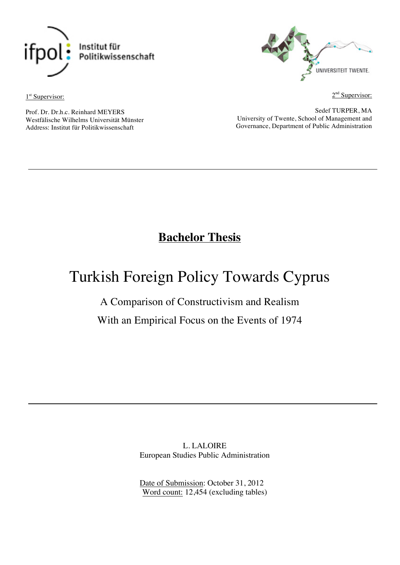

1<sup>st</sup> Supervisor:



 $2<sup>nd</sup>$  Supervisor:

Prof. Dr. Dr.h.c. Reinhard MEYERS Westfälische Wilhelms Universität Münster Address: Institut für Politikwissenschaft

Sedef TURPER, MA University of Twente, School of Management and Governance, Department of Public Administration

## **Bachelor Thesis**

# Turkish Foreign Policy Towards Cyprus

## A Comparison of Constructivism and Realism

With an Empirical Focus on the Events of 1974

L. LALOIRE European Studies Public Administration

Date of Submission: October 31, 2012 Word count: 12,454 (excluding tables)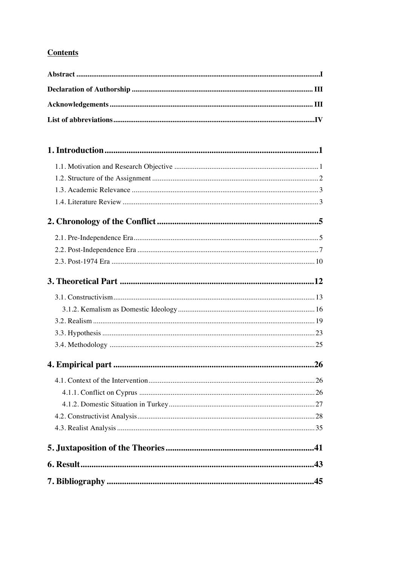## **Contents**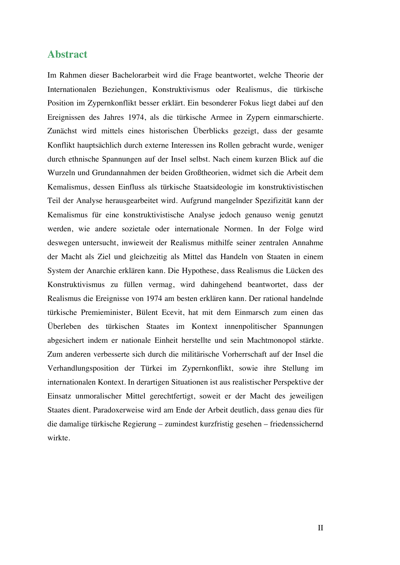#### **Abstract**

Im Rahmen dieser Bachelorarbeit wird die Frage beantwortet, welche Theorie der Internationalen Beziehungen, Konstruktivismus oder Realismus, die türkische Position im Zypernkonflikt besser erklärt. Ein besonderer Fokus liegt dabei auf den Ereignissen des Jahres 1974, als die türkische Armee in Zypern einmarschierte. Zunächst wird mittels eines historischen Überblicks gezeigt, dass der gesamte Konflikt hauptsächlich durch externe Interessen ins Rollen gebracht wurde, weniger durch ethnische Spannungen auf der Insel selbst. Nach einem kurzen Blick auf die Wurzeln und Grundannahmen der beiden Großtheorien, widmet sich die Arbeit dem Kemalismus, dessen Einfluss als türkische Staatsideologie im konstruktivistischen Teil der Analyse herausgearbeitet wird. Aufgrund mangelnder Spezifizität kann der Kemalismus für eine konstruktivistische Analyse jedoch genauso wenig genutzt werden, wie andere sozietale oder internationale Normen. In der Folge wird deswegen untersucht, inwieweit der Realismus mithilfe seiner zentralen Annahme der Macht als Ziel und gleichzeitig als Mittel das Handeln von Staaten in einem System der Anarchie erklären kann. Die Hypothese, dass Realismus die Lücken des Konstruktivismus zu füllen vermag, wird dahingehend beantwortet, dass der Realismus die Ereignisse von 1974 am besten erklären kann. Der rational handelnde türkische Premieminister, Bülent Ecevit, hat mit dem Einmarsch zum einen das Überleben des türkischen Staates im Kontext innenpolitischer Spannungen abgesichert indem er nationale Einheit herstellte und sein Machtmonopol stärkte. Zum anderen verbesserte sich durch die militärische Vorherrschaft auf der Insel die Verhandlungsposition der Türkei im Zypernkonflikt, sowie ihre Stellung im internationalen Kontext. In derartigen Situationen ist aus realistischer Perspektive der Einsatz unmoralischer Mittel gerechtfertigt, soweit er der Macht des jeweiligen Staates dient. Paradoxerweise wird am Ende der Arbeit deutlich, dass genau dies für die damalige türkische Regierung – zumindest kurzfristig gesehen – friedenssichernd wirkte.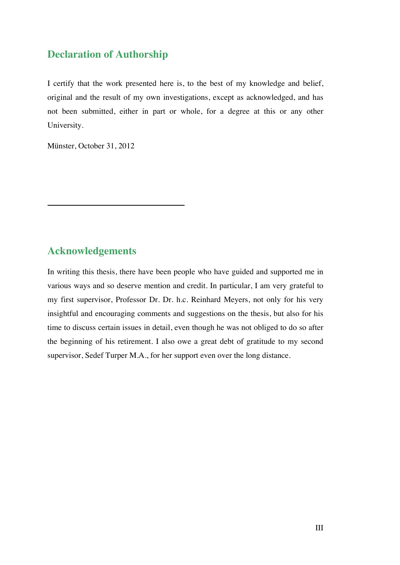### **Declaration of Authorship**

I certify that the work presented here is, to the best of my knowledge and belief, original and the result of my own investigations, except as acknowledged, and has not been submitted, either in part or whole, for a degree at this or any other University.

Münster, October 31, 2012

## **Acknowledgements**

In writing this thesis, there have been people who have guided and supported me in various ways and so deserve mention and credit. In particular, I am very grateful to my first supervisor, Professor Dr. Dr. h.c. Reinhard Meyers, not only for his very insightful and encouraging comments and suggestions on the thesis, but also for his time to discuss certain issues in detail, even though he was not obliged to do so after the beginning of his retirement. I also owe a great debt of gratitude to my second supervisor, Sedef Turper M.A., for her support even over the long distance.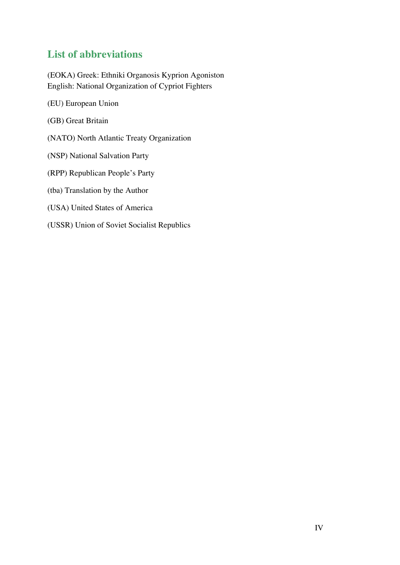## **List of abbreviations**

(EOKA) Greek: Ethniki Organosis Kyprion Agoniston English: National Organization of Cypriot Fighters

- (EU) European Union
- (GB) Great Britain
- (NATO) North Atlantic Treaty Organization
- (NSP) National Salvation Party
- (RPP) Republican People's Party
- (tba) Translation by the Author
- (USA) United States of America
- (USSR) Union of Soviet Socialist Republics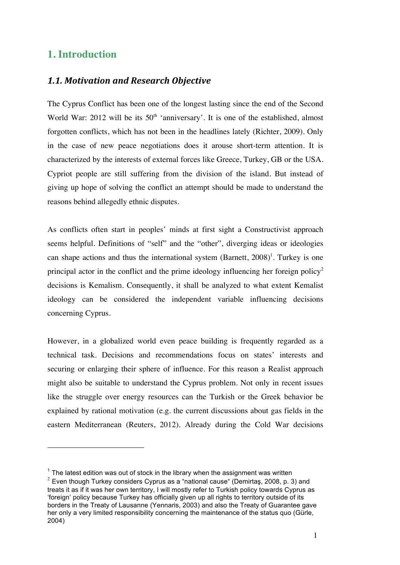## **1. Introduction**

 $\overline{a}$ 

#### *1.1. Motivation and Research Objective*

The Cyprus Conflict has been one of the longest lasting since the end of the Second World War: 2012 will be its  $50<sup>th</sup>$  'anniversary'. It is one of the established, almost forgotten conflicts, which has not been in the headlines lately (Richter, 2009). Only in the case of new peace negotiations does it arouse short-term attention. It is characterized by the interests of external forces like Greece, Turkey, GB or the USA. Cypriot people are still suffering from the division of the island. But instead of giving up hope of solving the conflict an attempt should be made to understand the reasons behind allegedly ethnic disputes.

As conflicts often start in peoples' minds at first sight a Constructivist approach seems helpful. Definitions of "self" and the "other", diverging ideas or ideologies can shape actions and thus the international system  $(Barnett, 2008)^T$ . Turkey is one principal actor in the conflict and the prime ideology influencing her foreign policy<sup>2</sup> decisions is Kemalism. Consequently, it shall be analyzed to what extent Kemalist ideology can be considered the independent variable influencing decisions concerning Cyprus.

However, in a globalized world even peace building is frequently regarded as a technical task. Decisions and recommendations focus on states' interests and securing or enlarging their sphere of influence. For this reason a Realist approach might also be suitable to understand the Cyprus problem. Not only in recent issues like the struggle over energy resources can the Turkish or the Greek behavior be explained by rational motivation (e.g. the current discussions about gas fields in the eastern Mediterranean (Reuters, 2012). Already during the Cold War decisions

 $1$  The latest edition was out of stock in the library when the assignment was written  $2$  Even though Turkey considers Cyprus as a "national cause" (Demirtas, 2008, p. 3) and treats it as if it was her own territory, I will mostly refer to Turkish policy towards Cyprus as 'foreign' policy because Turkey has officially given up all rights to territory outside of its borders in the Treaty of Lausanne (Yennaris, 2003) and also the Treaty of Guarantee gave her only a very limited responsibility concerning the maintenance of the status quo (Gürle, 2004)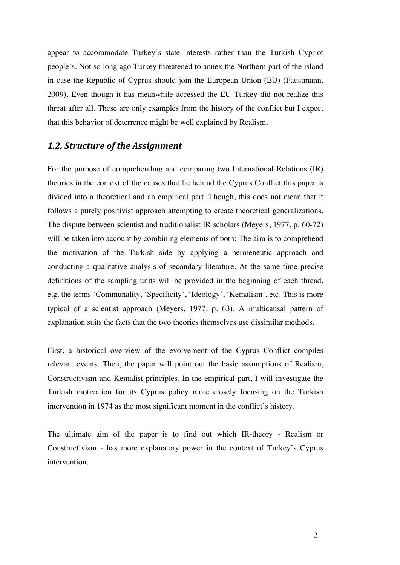appear to accommodate Turkey's state interests rather than the Turkish Cypriot people's. Not so long ago Turkey threatened to annex the Northern part of the island in case the Republic of Cyprus should join the European Union (EU) (Faustmann, 2009). Even though it has meanwhile accessed the EU Turkey did not realize this threat after all. These are only examples from the history of the conflict but I expect that this behavior of deterrence might be well explained by Realism.

#### 1.2. Structure of the Assignment

For the purpose of comprehending and comparing two International Relations (IR) theories in the context of the causes that lie behind the Cyprus Conflict this paper is divided into a theoretical and an empirical part. Though, this does not mean that it follows a purely positivist approach attempting to create theoretical generalizations. The dispute between scientist and traditionalist IR scholars (Meyers, 1977, p. 60-72) will be taken into account by combining elements of both: The aim is to comprehend the motivation of the Turkish side by applying a hermeneutic approach and conducting a qualitative analysis of secondary literature. At the same time precise definitions of the sampling units will be provided in the beginning of each thread, e.g. the terms 'Communality, 'Specificity', 'Ideology', 'Kemalism', etc. This is more typical of a scientist approach (Meyers, 1977, p. 63). A multicausal pattern of explanation suits the facts that the two theories themselves use dissimilar methods.

First, a historical overview of the evolvement of the Cyprus Conflict compiles relevant events. Then, the paper will point out the basic assumptions of Realism, Constructivism and Kemalist principles. In the empirical part, I will investigate the Turkish motivation for its Cyprus policy more closely focusing on the Turkish intervention in 1974 as the most significant moment in the conflict's history.

The ultimate aim of the paper is to find out which IR-theory - Realism or Constructivism - has more explanatory power in the context of Turkey's Cyprus intervention.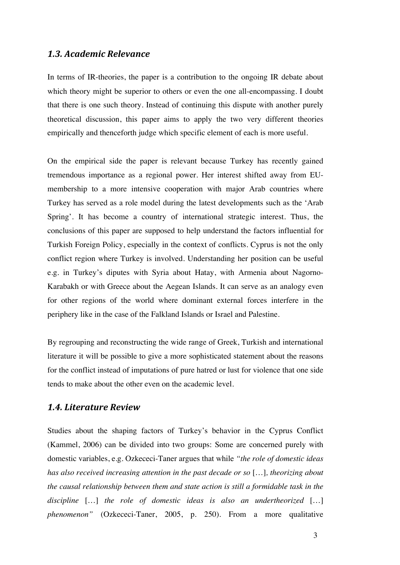#### *1.3. Academic Relevance*

In terms of IR-theories, the paper is a contribution to the ongoing IR debate about which theory might be superior to others or even the one all-encompassing. I doubt that there is one such theory. Instead of continuing this dispute with another purely theoretical discussion, this paper aims to apply the two very different theories empirically and thenceforth judge which specific element of each is more useful.

On the empirical side the paper is relevant because Turkey has recently gained tremendous importance as a regional power. Her interest shifted away from EUmembership to a more intensive cooperation with major Arab countries where Turkey has served as a role model during the latest developments such as the 'Arab Spring'. It has become a country of international strategic interest. Thus, the conclusions of this paper are supposed to help understand the factors influential for Turkish Foreign Policy, especially in the context of conflicts. Cyprus is not the only conflict region where Turkey is involved. Understanding her position can be useful e.g. in Turkey's diputes with Syria about Hatay, with Armenia about Nagorno-Karabakh or with Greece about the Aegean Islands. It can serve as an analogy even for other regions of the world where dominant external forces interfere in the periphery like in the case of the Falkland Islands or Israel and Palestine.

By regrouping and reconstructing the wide range of Greek, Turkish and international literature it will be possible to give a more sophisticated statement about the reasons for the conflict instead of imputations of pure hatred or lust for violence that one side tends to make about the other even on the academic level.

#### *1.4. Literature Review*

Studies about the shaping factors of Turkey's behavior in the Cyprus Conflict (Kammel, 2006) can be divided into two groups: Some are concerned purely with domestic variables, e.g. Ozkececi-Taner argues that while *"the role of domestic ideas has also received increasing attention in the past decade or so* […]*, theorizing about the causal relationship between them and state action is still a formidable task in the discipline* […] *the role of domestic ideas is also an undertheorized* […] *phenomenon"* (Ozkececi-Taner, 2005, p. 250). From a more qualitative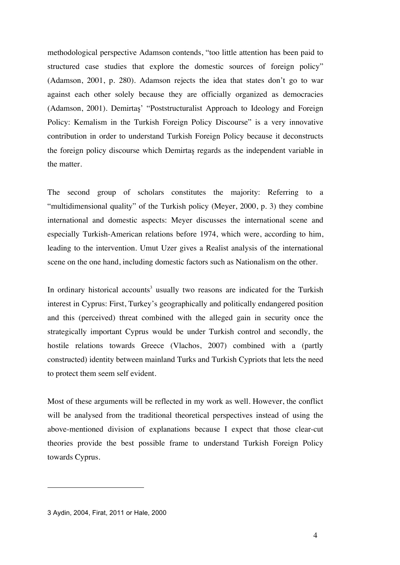methodological perspective Adamson contends, "too little attention has been paid to structured case studies that explore the domestic sources of foreign policy" (Adamson, 2001, p. 280). Adamson rejects the idea that states don't go to war against each other solely because they are officially organized as democracies (Adamson, 2001). Demirtaş' "Poststructuralist Approach to Ideology and Foreign Policy: Kemalism in the Turkish Foreign Policy Discourse" is a very innovative contribution in order to understand Turkish Foreign Policy because it deconstructs the foreign policy discourse which Demirtaş regards as the independent variable in the matter.

The second group of scholars constitutes the majority: Referring to a "multidimensional quality" of the Turkish policy (Meyer, 2000, p. 3) they combine international and domestic aspects: Meyer discusses the international scene and especially Turkish-American relations before 1974, which were, according to him, leading to the intervention. Umut Uzer gives a Realist analysis of the international scene on the one hand, including domestic factors such as Nationalism on the other.

In ordinary historical accounts<sup>3</sup> usually two reasons are indicated for the Turkish interest in Cyprus: First, Turkey's geographically and politically endangered position and this (perceived) threat combined with the alleged gain in security once the strategically important Cyprus would be under Turkish control and secondly, the hostile relations towards Greece (Vlachos, 2007) combined with a (partly constructed) identity between mainland Turks and Turkish Cypriots that lets the need to protect them seem self evident.

Most of these arguments will be reflected in my work as well. However, the conflict will be analysed from the traditional theoretical perspectives instead of using the above-mentioned division of explanations because I expect that those clear-cut theories provide the best possible frame to understand Turkish Foreign Policy towards Cyprus.

<sup>3</sup> Aydin, 2004, Firat, 2011 or Hale, 2000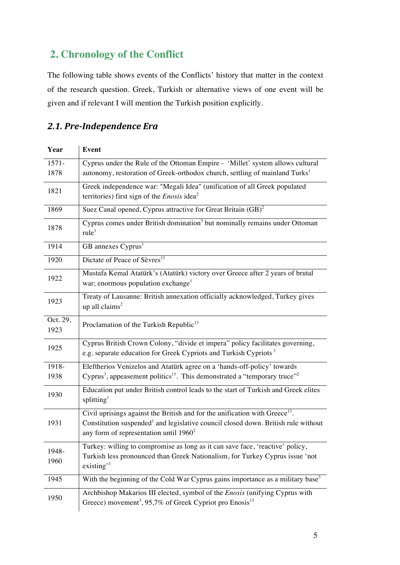## **2. Chronology of the Conflict**

The following table shows events of the Conflicts' history that matter in the context of the research question. Greek, Turkish or alternative views of one event will be given and if relevant I will mention the Turkish position explicitly.

## *2.1. Pre-Independence Era*

| Year             | <b>Event</b>                                                                                                                                                                                                                          |  |  |
|------------------|---------------------------------------------------------------------------------------------------------------------------------------------------------------------------------------------------------------------------------------|--|--|
| $1571 -$         | Cyprus under the Rule of the Ottoman Empire - 'Millet' system allows cultural                                                                                                                                                         |  |  |
| 1878             | autonomy, restoration of Greek-orthodox church, settling of mainland Turks <sup>1</sup>                                                                                                                                               |  |  |
| 1821             | Greek independence war: "Megali Idea" (unification of all Greek populated<br>territories) first sign of the <i>Enosis</i> idea <sup>2</sup>                                                                                           |  |  |
| 1869             | Suez Canal opened, Cyprus attractive for Great Britain (GB) <sup>2</sup>                                                                                                                                                              |  |  |
| 1878             | Cyprus comes under British domination <sup>3</sup> but nominally remains under Ottoman<br>rule <sup>1</sup>                                                                                                                           |  |  |
| 1914             | GB annexes Cyprus <sup>1</sup>                                                                                                                                                                                                        |  |  |
| 1920             | Dictate of Peace of Sèvres <sup>13</sup>                                                                                                                                                                                              |  |  |
| 1922             | Mustafa Kemal Atatürk's (Atatürk) victory over Greece after 2 years of brutal<br>war; enormous population exchange <sup>1</sup>                                                                                                       |  |  |
| 1923             | Treaty of Lausanne: British annexation officially acknowledged, Turkey gives<br>up all claims <sup>2</sup>                                                                                                                            |  |  |
| Oct. 29,<br>1923 | Proclamation of the Turkish Republic <sup>13</sup>                                                                                                                                                                                    |  |  |
| 1925             | Cyprus British Crown Colony, "divide et impera" policy facilitates governing,<br>e.g. separate education for Greek Cypriots and Turkish Cypriots <sup>3</sup>                                                                         |  |  |
| 1918-<br>1938    | Eleftherios Venizelos and Atatürk agree on a 'hands-off-policy' towards<br>Cyprus <sup>3</sup> , appeasement politics <sup>13</sup> . This demonstrated a "temporary truce" <sup>2</sup>                                              |  |  |
| 1930             | Education put under British control leads to the start of Turkish and Greek elites<br>splitting <sup>1</sup>                                                                                                                          |  |  |
| 1931             | Civil uprisings against the British and for the unification with Greece <sup>13</sup> .<br>Constitution suspended <sup>1</sup> and legislative council closed down. British rule without<br>any form of representation until $1960^2$ |  |  |
| 1948-<br>1960    | Turkey: willing to compromise as long as it can save face, 'reactive' policy,<br>Turkish less pronounced than Greek Nationalism, for Turkey Cyprus issue 'not<br>existing $^{3}$                                                      |  |  |
| 1945             | With the beginning of the Cold War Cyprus gains importance as a military base <sup>3</sup>                                                                                                                                            |  |  |
| 1950             | Archbishop Makarios III elected, symbol of the <i>Enosis</i> (unifying Cyprus with<br>Greece) movement <sup>3</sup> , 95,7% of Greek Cypriot pro Enosis <sup>13</sup>                                                                 |  |  |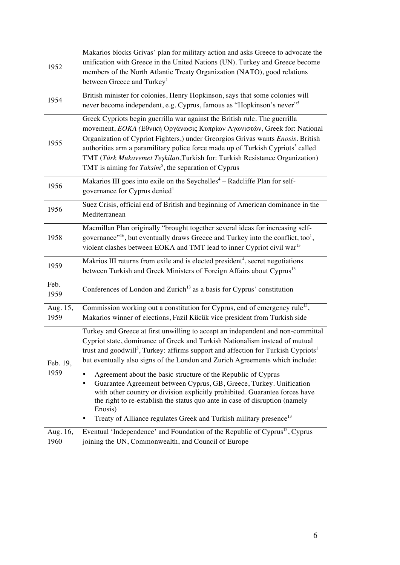| 1952             | Makarios blocks Grivas' plan for military action and asks Greece to advocate the<br>unification with Greece in the United Nations (UN). Turkey and Greece become<br>members of the North Atlantic Treaty Organization (NATO), good relations<br>between Greece and Turkey <sup>1</sup>                                                                                                                                                                                                                                                                                                                                                                                                                                                                                                        |  |  |  |
|------------------|-----------------------------------------------------------------------------------------------------------------------------------------------------------------------------------------------------------------------------------------------------------------------------------------------------------------------------------------------------------------------------------------------------------------------------------------------------------------------------------------------------------------------------------------------------------------------------------------------------------------------------------------------------------------------------------------------------------------------------------------------------------------------------------------------|--|--|--|
| 1954             | British minister for colonies, Henry Hopkinson, says that some colonies will<br>never become independent, e.g. Cyprus, famous as "Hopkinson's never" <sup>5</sup>                                                                                                                                                                                                                                                                                                                                                                                                                                                                                                                                                                                                                             |  |  |  |
| 1955             | Greek Cypriots begin guerrilla war against the British rule. The guerrilla<br>movement, ΕΟΚΑ (Εθνική Οργάνωσις Κυπρίων Αγωνιστών, Greek for: National<br>Organization of Cypriot Fighters,) under Greorgios Grivas wants Enosis. British<br>authorities arm a paramilitary police force made up of Turkish Cypriots <sup>3</sup> called<br>TMT (Türk Mukavemet Teşkilatı, Turkish for: Turkish Resistance Organization)<br>TMT is aiming for Taksim <sup>5</sup> , the separation of Cyprus                                                                                                                                                                                                                                                                                                   |  |  |  |
| 1956             | Makarios III goes into exile on the Seychelles <sup>4</sup> - Radcliffe Plan for self-<br>governance for Cyprus denied <sup>1</sup>                                                                                                                                                                                                                                                                                                                                                                                                                                                                                                                                                                                                                                                           |  |  |  |
| 1956             | Suez Crisis, official end of British and beginning of American dominance in the<br>Mediterranean                                                                                                                                                                                                                                                                                                                                                                                                                                                                                                                                                                                                                                                                                              |  |  |  |
| 1958             | Macmillan Plan originally "brought together several ideas for increasing self-<br>governance" <sup>16</sup> , but eventually draws Greece and Turkey into the conflict, too <sup>1</sup> ,<br>violent clashes between EOKA and TMT lead to inner Cypriot civil war <sup>13</sup>                                                                                                                                                                                                                                                                                                                                                                                                                                                                                                              |  |  |  |
| 1959             | Makrios III returns from exile and is elected president <sup>4</sup> , secret negotiations<br>between Turkish and Greek Ministers of Foreign Affairs about Cyprus <sup>13</sup>                                                                                                                                                                                                                                                                                                                                                                                                                                                                                                                                                                                                               |  |  |  |
| Feb.<br>1959     | Conferences of London and Zurich <sup>13</sup> as a basis for Cyprus' constitution                                                                                                                                                                                                                                                                                                                                                                                                                                                                                                                                                                                                                                                                                                            |  |  |  |
| Aug. 15,<br>1959 | Commission working out a constitution for Cyprus, end of emergency rule <sup>13</sup> ,<br>Makarios winner of elections, Fazil Kücük vice president from Turkish side                                                                                                                                                                                                                                                                                                                                                                                                                                                                                                                                                                                                                         |  |  |  |
| Feb. 19,<br>1959 | Turkey and Greece at first unwilling to accept an independent and non-committal<br>Cypriot state, dominance of Greek and Turkish Nationalism instead of mutual<br>trust and goodwill <sup>3</sup> , Turkey: affirms support and affection for Turkish Cypriots <sup>1</sup><br>but eventually also signs of the London and Zurich Agreements which include:<br>Agreement about the basic structure of the Republic of Cyprus<br>٠<br>Guarantee Agreement between Cyprus, GB, Greece, Turkey. Unification<br>$\bullet$<br>with other country or division explicitly prohibited. Guarantee forces have<br>the right to re-establish the status quo ante in case of disruption (namely<br>Enosis)<br>Treaty of Alliance regulates Greek and Turkish military presence <sup>13</sup><br>$\bullet$ |  |  |  |
| Aug. 16,<br>1960 | Eventual 'Independence' and Foundation of the Republic of Cyprus <sup>13</sup> , Cyprus<br>joining the UN, Commonwealth, and Council of Europe                                                                                                                                                                                                                                                                                                                                                                                                                                                                                                                                                                                                                                                |  |  |  |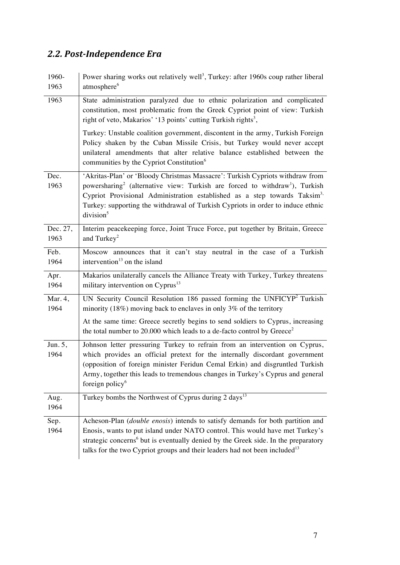## *2.2. Post-Independence Era*

| 1960-<br>1963    | Power sharing works out relatively well <sup>3</sup> , Turkey: after 1960s coup rather liberal<br>atmosphere <sup>6</sup>                                                                                                                                                                                                                                                                 |  |  |
|------------------|-------------------------------------------------------------------------------------------------------------------------------------------------------------------------------------------------------------------------------------------------------------------------------------------------------------------------------------------------------------------------------------------|--|--|
| 1963             | State administration paralyzed due to ethnic polarization and complicated<br>constitution, most problematic from the Greek Cypriot point of view: Turkish<br>right of veto, Makarios' '13 points' cutting Turkish rights <sup>3</sup> ,                                                                                                                                                   |  |  |
|                  | Turkey: Unstable coalition government, discontent in the army, Turkish Foreign<br>Policy shaken by the Cuban Missile Crisis, but Turkey would never accept<br>unilateral amendments that alter relative balance established between the<br>communities by the Cypriot Constitution <sup>6</sup>                                                                                           |  |  |
| Dec.<br>1963     | 'Akritas-Plan' or 'Bloody Christmas Massacre': Turkish Cypriots withdraw from<br>powersharing <sup>2</sup> (alternative view: Turkish are forced to withdraw <sup>1</sup> ), Turkish<br>Cypriot Provisional Administration established as a step towards Taksim <sup>3,</sup><br>Turkey: supporting the withdrawal of Turkish Cypriots in order to induce ethnic<br>division <sup>5</sup> |  |  |
| Dec. 27,<br>1963 | Interim peacekeeping force, Joint Truce Force, put together by Britain, Greece<br>and Turkey <sup>2</sup>                                                                                                                                                                                                                                                                                 |  |  |
| Feb.<br>1964     | Moscow announces that it can't stay neutral in the case of a Turkish<br>intervention $13$ on the island                                                                                                                                                                                                                                                                                   |  |  |
| Apr.<br>1964     | Makarios unilaterally cancels the Alliance Treaty with Turkey, Turkey threatens<br>military intervention on Cyprus <sup>13</sup>                                                                                                                                                                                                                                                          |  |  |
| Mar. 4,<br>1964  | UN Security Council Resolution 186 passed forming the UNFICYP <sup>2</sup> Turkish<br>minority (18%) moving back to enclaves in only 3% of the territory                                                                                                                                                                                                                                  |  |  |
|                  | At the same time: Greece secretly begins to send soldiers to Cyprus, increasing<br>the total number to 20.000 which leads to a de-facto control by Greece <sup>2</sup>                                                                                                                                                                                                                    |  |  |
| Jun. 5,<br>1964  | Johnson letter pressuring Turkey to refrain from an intervention on Cyprus,<br>which provides an official pretext for the internally discordant government<br>(opposition of foreign minister Feridun Cemal Erkin) and disgruntled Turkish<br>Army, together this leads to tremendous changes in Turkey's Cyprus and general<br>foreign policy <sup>6</sup>                               |  |  |
| Aug.<br>1964     | Turkey bombs the Northwest of Cyprus during 2 days <sup>13</sup>                                                                                                                                                                                                                                                                                                                          |  |  |
| Sep.<br>1964     | Acheson-Plan (double enosis) intends to satisfy demands for both partition and<br>Enosis, wants to put island under NATO control. This would have met Turkey's<br>strategic concerns <sup>6</sup> but is eventually denied by the Greek side. In the preparatory<br>talks for the two Cypriot groups and their leaders had not been included <sup>13</sup>                                |  |  |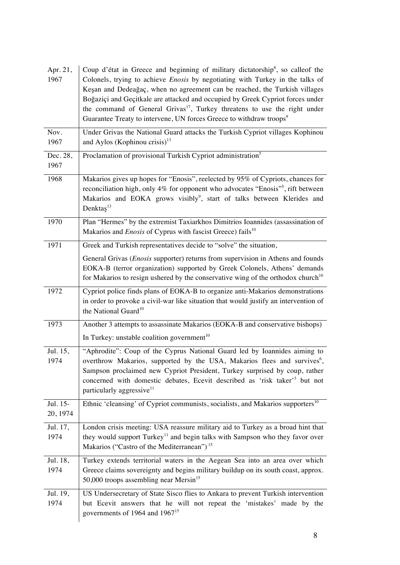| Apr. 21,<br>1967     | Coup d'état in Greece and beginning of military dictatorship <sup>8</sup> , so calleof the<br>Colonels, trying to achieve <i>Enosis</i> by negotiating with Turkey in the talks of<br>Keşan and Dedeağaç, when no agreement can be reached, the Turkish villages<br>Boğaziçi and Geçitkale are attacked and occupied by Greek Cypriot forces under<br>the command of General Grivas <sup>17</sup> , Turkey threatens to use the right under<br>Guarantee Treaty to intervene, UN forces Greece to withdraw troops <sup>9</sup> |
|----------------------|--------------------------------------------------------------------------------------------------------------------------------------------------------------------------------------------------------------------------------------------------------------------------------------------------------------------------------------------------------------------------------------------------------------------------------------------------------------------------------------------------------------------------------|
| Nov.<br>1967         | Under Grivas the National Guard attacks the Turkish Cypriot villages Kophinou<br>and Aylos (Kophinou crisis) $^{13}$                                                                                                                                                                                                                                                                                                                                                                                                           |
| Dec. 28,<br>1967     | Proclamation of provisional Turkish Cypriot administration <sup>5</sup>                                                                                                                                                                                                                                                                                                                                                                                                                                                        |
| 1968                 | Makarios gives up hopes for "Enosis", reelected by 95% of Cypriots, chances for<br>reconciliation high, only 4% for opponent who advocates "Enosis" <sup>5</sup> , rift between<br>Makarios and EOKA grows visibly <sup>9</sup> , start of talks between Klerides and<br>Denkta $s^{13}$                                                                                                                                                                                                                                       |
| 1970                 | Plan "Hermes" by the extremist Taxiarkhos Dimitrios Ioannides (assassination of<br>Makarios and <i>Enosis</i> of Cyprus with fascist Greece) fails <sup>10</sup>                                                                                                                                                                                                                                                                                                                                                               |
| 1971                 | Greek and Turkish representatives decide to "solve" the situation,                                                                                                                                                                                                                                                                                                                                                                                                                                                             |
|                      | General Grivas ( <i>Enosis</i> supporter) returns from supervision in Athens and founds<br>EOKA-B (terror organization) supported by Greek Colonels, Athens' demands<br>for Makarios to resign ushered by the conservative wing of the orthodox church <sup>10</sup>                                                                                                                                                                                                                                                           |
| 1972                 | Cypriot police finds plans of EOKA-B to organize anti-Makarios demonstrations<br>in order to provoke a civil-war like situation that would justify an intervention of<br>the National Guard <sup>10</sup>                                                                                                                                                                                                                                                                                                                      |
| 1973                 | Another 3 attempts to assassinate Makarios (EOKA-B and conservative bishops)<br>In Turkey: unstable coalition government <sup>10</sup>                                                                                                                                                                                                                                                                                                                                                                                         |
| Jul. 15,<br>1974     | "Aphrodite": Coup of the Cyprus National Guard led by Ioannides aiming to<br>overthrow Makarios, supported by the USA, Makarios flees and survives <sup>6</sup> ,<br>Sampson proclaimed new Cypriot President, Turkey surprised by coup, rather<br>concerned with domestic debates, Ecevit described as 'risk taker' <sup>3</sup> but not<br>particularly aggressive <sup>11</sup>                                                                                                                                             |
| Jul. 15-<br>20, 1974 | Ethnic 'cleansing' of Cypriot communists, socialists, and Makarios supporters <sup>10</sup>                                                                                                                                                                                                                                                                                                                                                                                                                                    |
| Jul. 17,<br>1974     | London crisis meeting: USA reassure military aid to Turkey as a broad hint that<br>they would support Turkey <sup>11</sup> and begin talks with Sampson who they favor over<br>Makarios ("Castro of the Mediterranean") <sup>15</sup>                                                                                                                                                                                                                                                                                          |
| Jul. 18,<br>1974     | Turkey extends territorial waters in the Aegean Sea into an area over which<br>Greece claims sovereignty and begins military buildup on its south coast, approx.<br>50,000 troops assembling near Mersin <sup>15</sup>                                                                                                                                                                                                                                                                                                         |
| Jul. 19,<br>1974     | US Undersecretary of State Sisco flies to Ankara to prevent Turkish intervention<br>but Ecevit answers that he will not repeat the 'mistakes' made by the<br>governments of 1964 and 1967 <sup>15</sup>                                                                                                                                                                                                                                                                                                                        |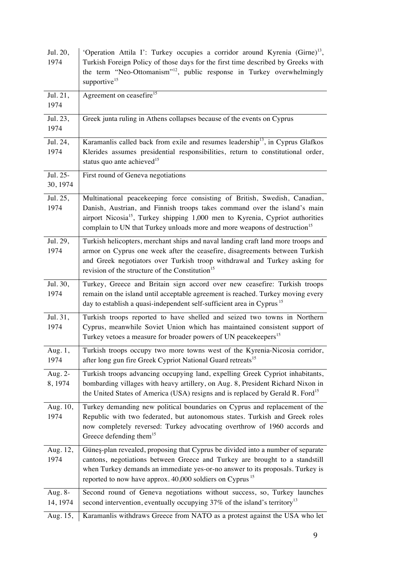| Jul. 20,<br>1974     | 'Operation Attila I': Turkey occupies a corridor around Kyrenia (Girne) <sup>13</sup> ,<br>Turkish Foreign Policy of those days for the first time described by Greeks with<br>the term "Neo-Ottomanism" <sup>12</sup> , public response in Turkey overwhelmingly<br>supportive <sup>15</sup>                                                 |
|----------------------|-----------------------------------------------------------------------------------------------------------------------------------------------------------------------------------------------------------------------------------------------------------------------------------------------------------------------------------------------|
| Jul. 21,<br>1974     | Agreement on ceasefire <sup>15</sup>                                                                                                                                                                                                                                                                                                          |
| Jul. 23,<br>1974     | Greek junta ruling in Athens collapses because of the events on Cyprus                                                                                                                                                                                                                                                                        |
| Jul. 24,<br>1974     | Karamanlis called back from exile and resumes leadership <sup>13</sup> , in Cyprus Glafkos<br>Klerides assumes presidential responsibilities, return to constitutional order,<br>status quo ante achieved <sup>15</sup>                                                                                                                       |
| Jul. 25-<br>30, 1974 | First round of Geneva negotiations                                                                                                                                                                                                                                                                                                            |
| Jul. 25,<br>1974     | Multinational peacekeeping force consisting of British, Swedish, Canadian,<br>Danish, Austrian, and Finnish troops takes command over the island's main<br>airport Nicosia <sup>15</sup> , Turkey shipping 1,000 men to Kyrenia, Cypriot authorities<br>complain to UN that Turkey unloads more and more weapons of destruction <sup>15</sup> |
| Jul. 29,<br>1974     | Turkish helicopters, merchant ships and naval landing craft land more troops and<br>armor on Cyprus one week after the ceasefire, disagreements between Turkish<br>and Greek negotiators over Turkish troop withdrawal and Turkey asking for<br>revision of the structure of the Constitution <sup>15</sup>                                   |
| Jul. 30,<br>1974     | Turkey, Greece and Britain sign accord over new ceasefire: Turkish troops<br>remain on the island until acceptable agreement is reached. Turkey moving every<br>day to establish a quasi-independent self-sufficient area in Cyprus <sup>15</sup>                                                                                             |
| Jul. 31,<br>1974     | Turkish troops reported to have shelled and seized two towns in Northern<br>Cyprus, meanwhile Soviet Union which has maintained consistent support of<br>Turkey vetoes a measure for broader powers of UN peacekeepers <sup>15</sup>                                                                                                          |
| Aug. 1,<br>1974      | Turkish troops occupy two more towns west of the Kyrenia-Nicosia corridor,<br>after long gun fire Greek Cypriot National Guard retreats <sup>15</sup>                                                                                                                                                                                         |
| Aug. 2-<br>8, 1974   | Turkish troops advancing occupying land, expelling Greek Cypriot inhabitants,<br>bombarding villages with heavy artillery, on Aug. 8, President Richard Nixon in<br>the United States of America (USA) resigns and is replaced by Gerald R. Ford <sup>15</sup>                                                                                |
| Aug. 10,<br>1974     | Turkey demanding new political boundaries on Cyprus and replacement of the<br>Republic with two federated, but autonomous states. Turkish and Greek roles<br>now completely reversed: Turkey advocating overthrow of 1960 accords and<br>Greece defending them <sup>15</sup>                                                                  |
| Aug. 12,<br>1974     | Güneş-plan revealed, proposing that Cyprus be divided into a number of separate<br>cantons, negotiations between Greece and Turkey are brought to a standstill<br>when Turkey demands an immediate yes-or-no answer to its proposals. Turkey is<br>reported to now have approx. 40,000 soldiers on Cyprus <sup>15</sup>                       |
| Aug. 8-<br>14, 1974  | Second round of Geneva negotiations without success, so, Turkey launches<br>second intervention, eventually occupying $37\%$ of the island's territory <sup>13</sup>                                                                                                                                                                          |
| Aug. 15,             | Karamanlis withdraws Greece from NATO as a protest against the USA who let                                                                                                                                                                                                                                                                    |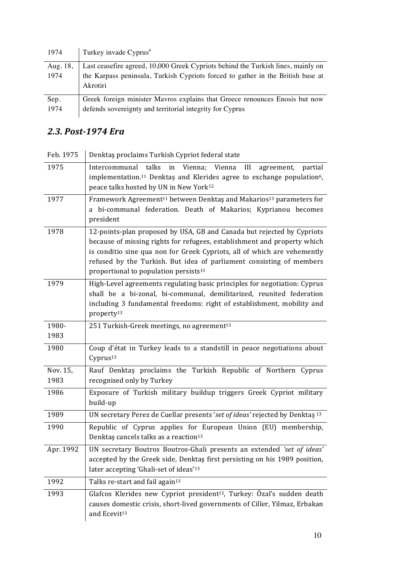| 1974     | Turkey invade Cyprus <sup>6</sup>                                                |
|----------|----------------------------------------------------------------------------------|
| Aug. 18, | Last ceasefire agreed, 10,000 Greek Cypriots behind the Turkish lines, mainly on |
| 1974     | the Karpass peninsula, Turkish Cypriots forced to gather in the British base at  |
|          | Akrotiri                                                                         |
| Sep.     | Greek foreign minister Mavros explains that Greece renounces Enosis but now      |
| 1974     | defends sovereignty and territorial integrity for Cyprus                         |

## *2.3. Post-1974 Era*

| Feb. 1975        | Denktas proclaims Turkish Cypriot federal state                                                                                                                                                                                                                                                                                                             |
|------------------|-------------------------------------------------------------------------------------------------------------------------------------------------------------------------------------------------------------------------------------------------------------------------------------------------------------------------------------------------------------|
| 1975             | Intercommunal talks in Vienna; Vienna<br>III<br>agreement, partial<br>implementation. <sup>11</sup> Denktas and Klerides agree to exchange population <sup>6</sup> ,<br>peace talks hosted by UN in New York <sup>12</sup>                                                                                                                                  |
| 1977             | Framework Agreement <sup>11</sup> between Denktaş and Makarios <sup>13</sup> parameters for<br>a bi-communal federation. Death of Makarios; Kyprianou becomes<br>president                                                                                                                                                                                  |
| 1978             | 12-points-plan proposed by USA, GB and Canada but rejected by Cypriots<br>because of missing rights for refugees, establishment and property which<br>is conditio sine qua non for Greek Cypriots, all of which are vehemently<br>refused by the Turkish. But idea of parliament consisting of members<br>proportional to population persists <sup>13</sup> |
| 1979             | High-Level agreements regulating basic principles for negotiation: Cyprus<br>shall be a bi-zonal, bi-communal, demilitarized, reunited federation<br>including 3 fundamental freedoms: right of establishment, mobility and<br>property <sup>13</sup>                                                                                                       |
| 1980-<br>1983    | 251 Turkish-Greek meetings, no agreement <sup>13</sup>                                                                                                                                                                                                                                                                                                      |
| 1980             | Coup d'état in Turkey leads to a standstill in peace negotiations about<br>Cyprus <sup>13</sup>                                                                                                                                                                                                                                                             |
| Nov. 15,<br>1983 | Rauf Denktas proclaims the Turkish Republic of Northern Cyprus<br>recognised only by Turkey                                                                                                                                                                                                                                                                 |
| 1986             | Exposure of Turkish military buildup triggers Greek Cypriot military<br>build-up                                                                                                                                                                                                                                                                            |
| 1989             | UN secretary Perez de Cuellar presents 'set of ideas' rejected by Denktas 13                                                                                                                                                                                                                                                                                |
| 1990             | Republic of Cyprus applies for European Union (EU) membership,<br>Denktas cancels talks as a reaction <sup>13</sup>                                                                                                                                                                                                                                         |
| Apr. 1992        | UN secretary Boutros Boutros-Ghali presents an extended 'set of ideas'<br>accepted by the Greek side, Denktas first persisting on his 1989 position,<br>later accepting 'Ghali-set of ideas' <sup>13</sup>                                                                                                                                                  |
| 1992             | Talks re-start and fail again <sup>13</sup>                                                                                                                                                                                                                                                                                                                 |
| 1993             | Glafcos Klerides new Cypriot president <sup>13</sup> , Turkey: Özal's sudden death<br>causes domestic crisis, short-lived governments of Ciller, Yilmaz, Erbakan<br>and Ecevit <sup>13</sup>                                                                                                                                                                |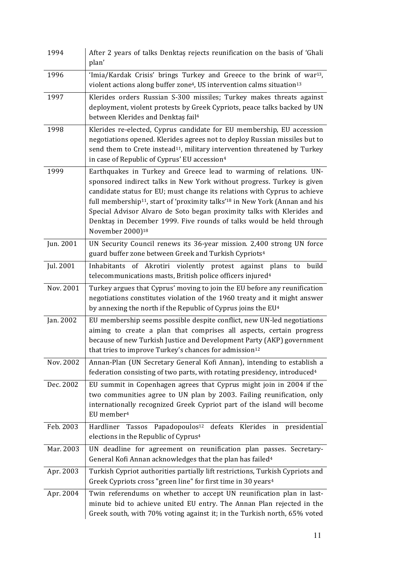| 1994      | After 2 years of talks Denktas rejects reunification on the basis of 'Ghali<br>plan'                                                                                                                                                                                                                                                                                                                                                                                                                               |
|-----------|--------------------------------------------------------------------------------------------------------------------------------------------------------------------------------------------------------------------------------------------------------------------------------------------------------------------------------------------------------------------------------------------------------------------------------------------------------------------------------------------------------------------|
| 1996      | 'Imia/Kardak Crisis' brings Turkey and Greece to the brink of war <sup>13</sup> ,<br>violent actions along buffer zone <sup>4</sup> , US intervention calms situation <sup>13</sup>                                                                                                                                                                                                                                                                                                                                |
| 1997      | Klerides orders Russian S-300 missiles; Turkey makes threats against<br>deployment, violent protests by Greek Cypriots, peace talks backed by UN<br>between Klerides and Denktas fail <sup>4</sup>                                                                                                                                                                                                                                                                                                                 |
| 1998      | Klerides re-elected, Cyprus candidate for EU membership, EU accession<br>negotiations opened. Klerides agrees not to deploy Russian missiles but to<br>send them to Crete instead <sup>11</sup> , military intervention threatened by Turkey<br>in case of Republic of Cyprus' EU accession <sup>4</sup>                                                                                                                                                                                                           |
| 1999      | Earthquakes in Turkey and Greece lead to warming of relations. UN-<br>sponsored indirect talks in New York without progress. Turkey is given<br>candidate status for EU; must change its relations with Cyprus to achieve<br>full membership <sup>11</sup> , start of 'proximity talks' <sup>18</sup> in New York (Annan and his<br>Special Advisor Alvaro de Soto began proximity talks with Klerides and<br>Denktaş in December 1999. Five rounds of talks would be held through<br>November 2000) <sup>18</sup> |
| Jun. 2001 | UN Security Council renews its 36-year mission. 2,400 strong UN force<br>guard buffer zone between Greek and Turkish Cypriots <sup>4</sup>                                                                                                                                                                                                                                                                                                                                                                         |
| Jul. 2001 | Inhabitants of Akrotiri violently protest against plans<br>build<br>to<br>telecommunications masts, British police officers injured <sup>4</sup>                                                                                                                                                                                                                                                                                                                                                                   |
| Nov. 2001 | Turkey argues that Cyprus' moving to join the EU before any reunification<br>negotiations constitutes violation of the 1960 treaty and it might answer<br>by annexing the north if the Republic of Cyprus joins the EU <sup>4</sup>                                                                                                                                                                                                                                                                                |
| Jan. 2002 | EU membership seems possible despite conflict, new UN-led negotiations<br>aiming to create a plan that comprises all aspects, certain progress<br>because of new Turkish Justice and Development Party (AKP) government<br>that tries to improve Turkey's chances for admission <sup>12</sup>                                                                                                                                                                                                                      |
| Nov. 2002 | Annan-Plan (UN Secretary General Kofi Annan), intending to establish a<br>federation consisting of two parts, with rotating presidency, introduced <sup>4</sup>                                                                                                                                                                                                                                                                                                                                                    |
| Dec. 2002 | EU summit in Copenhagen agrees that Cyprus might join in 2004 if the<br>two communities agree to UN plan by 2003. Failing reunification, only<br>internationally recognized Greek Cypriot part of the island will become<br>EU member <sup>4</sup>                                                                                                                                                                                                                                                                 |
| Feb. 2003 | Papadopoulos <sup>12</sup><br>defeats<br>Klerides in presidential<br>Hardliner Tassos<br>elections in the Republic of Cyprus <sup>4</sup>                                                                                                                                                                                                                                                                                                                                                                          |
| Mar. 2003 | UN deadline for agreement on reunification plan passes. Secretary-<br>General Kofi Annan acknowledges that the plan has failed <sup>4</sup>                                                                                                                                                                                                                                                                                                                                                                        |
| Apr. 2003 | Turkish Cypriot authorities partially lift restrictions, Turkish Cypriots and<br>Greek Cypriots cross "green line" for first time in 30 years <sup>4</sup>                                                                                                                                                                                                                                                                                                                                                         |
| Apr. 2004 | Twin referendums on whether to accept UN reunification plan in last-<br>minute bid to achieve united EU entry. The Annan Plan rejected in the<br>Greek south, with 70% voting against it; in the Turkish north, 65% voted                                                                                                                                                                                                                                                                                          |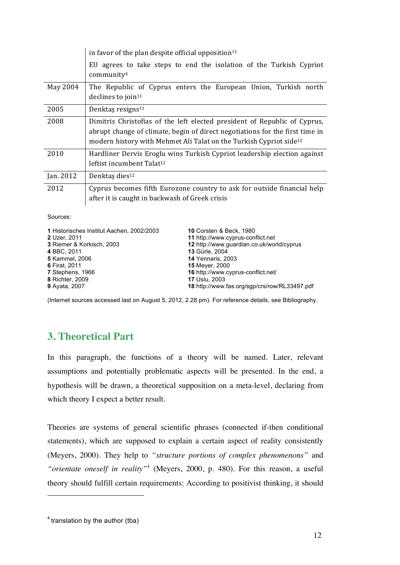|           | in favor of the plan despite official opposition <sup>11</sup>                                                                                                                                                                              |  |  |
|-----------|---------------------------------------------------------------------------------------------------------------------------------------------------------------------------------------------------------------------------------------------|--|--|
|           | EU agrees to take steps to end the isolation of the Turkish Cypriot<br>community <sup>4</sup>                                                                                                                                               |  |  |
| May 2004  | The Republic of Cyprus enters the European Union, Turkish north<br>declines to join <sup>11</sup>                                                                                                                                           |  |  |
| 2005      | Denktaş resigns $11$                                                                                                                                                                                                                        |  |  |
| 2008      | Dimitris Christofias of the left elected president of Republic of Cyprus,<br>abrupt change of climate, begin of direct negotiations for the first time in<br>modern history with Mehmet Ali Talat on the Turkish Cypriot side <sup>12</sup> |  |  |
| 2010      | Hardliner Dervis Eroglu wins Turkish Cypriot leadership election against<br>leftist incumbent Talat <sup>12</sup>                                                                                                                           |  |  |
| Jan. 2012 | Denktaş dies <sup>12</sup>                                                                                                                                                                                                                  |  |  |
| 2012      | Cyprus becomes fifth Eurozone country to ask for outside financial help<br>after it is caught in backwash of Greek crisis                                                                                                                   |  |  |

Sources:

| 1 Historisches Institut Aachen, 2002/2003 | <b>10 Corsten &amp; Beck, 1980</b>            |
|-------------------------------------------|-----------------------------------------------|
| 2 Uzer, 2011                              | 11 http://www.cyprus-conflict.net             |
| 3 Riemer & Korkisch, 2003                 | 12 http://www.quardian.co.uk/world/cyprus     |
| 4 BBC, 2011                               | 13 Gürle, 2004                                |
| <b>5</b> Kammel, 2006                     | <b>14 Yennaris, 2003</b>                      |
| <b>6 Firat, 2011</b>                      | <b>15 Meyer, 2000</b>                         |
| 7 Stephens, 1966                          | 16 http://www.cyprus-conflict.net/            |
| 8 Richter, 2009                           | <b>17 Uslu, 2003</b>                          |
| <b>9</b> Ayata, 2007                      | 18 http://www.fas.org/sgp/crs/row/RL33497.pdf |

(Internet sources accessed last on August 5, 2012, 2.28 pm). For reference details, see Bibliography.

## **3. Theoretical Part**

In this paragraph, the functions of a theory will be named. Later, relevant assumptions and potentially problematic aspects will be presented. In the end, a hypothesis will be drawn, a theoretical supposition on a meta-level, declaring from which theory I expect a better result.

Theories are systems of general scientific phrases (connected if-then conditional statements), which are supposed to explain a certain aspect of reality consistently (Meyers, 2000). They help to *"structure portions of complex phenomenons"* and *"orientate oneself in reality"*<sup>4</sup> (Meyers, 2000, p. 480). For this reason, a useful theory should fulfill certain requirements: According to positivist thinking, it should

 $<sup>4</sup>$  translation by the author (tba)</sup>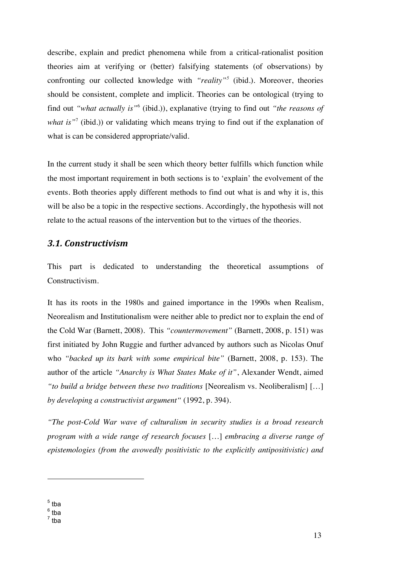describe, explain and predict phenomena while from a critical-rationalist position theories aim at verifying or (better) falsifying statements (of observations) by confronting our collected knowledge with *"reality"<sup>5</sup>* (ibid.)*.* Moreover, theories should be consistent, complete and implicit. Theories can be ontological (trying to find out *"what actually is"*<sup>6</sup> (ibid.)), explanative (trying to find out *"the reasons of what is*<sup>"7</sup> (ibid.)) or validating which means trying to find out if the explanation of what is can be considered appropriate/valid.

In the current study it shall be seen which theory better fulfills which function while the most important requirement in both sections is to 'explain' the evolvement of the events. Both theories apply different methods to find out what is and why it is, this will be also be a topic in the respective sections. Accordingly, the hypothesis will not relate to the actual reasons of the intervention but to the virtues of the theories.

#### *3.1. Constructivism*

This part is dedicated to understanding the theoretical assumptions of Constructivism.

It has its roots in the 1980s and gained importance in the 1990s when Realism, Neorealism and Institutionalism were neither able to predict nor to explain the end of the Cold War (Barnett, 2008). This *"countermovement"* (Barnett, 2008, p. 151) was first initiated by John Ruggie and further advanced by authors such as Nicolas Onuf who *"backed up its bark with some empirical bite"* (Barnett, 2008, p. 153). The author of the article *"Anarchy is What States Make of it"*, Alexander Wendt, aimed *"to build a bridge between these two traditions* [Neorealism vs. Neoliberalism] […] *by developing a constructivist argument"* (1992, p. 394).

*"The post-Cold War wave of culturalism in security studies is a broad research program with a wide range of research focuses* […] *embracing a diverse range of epistemologies (from the avowedly positivistic to the explicitly antipositivistic) and* 

 $<sup>5</sup>$  tba</sup>

 $6$  tba

 $7$  tba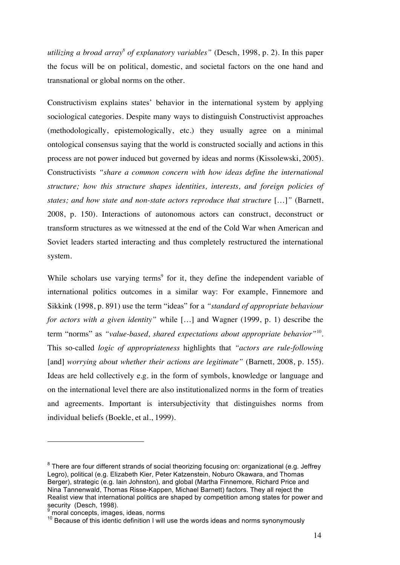*utilizing a broad array<sup>8</sup> of explanatory variables"* (Desch, 1998, p. 2). In this paper the focus will be on political, domestic, and societal factors on the one hand and transnational or global norms on the other.

Constructivism explains states' behavior in the international system by applying sociological categories. Despite many ways to distinguish Constructivist approaches (methodologically, epistemologically, etc.) they usually agree on a minimal ontological consensus saying that the world is constructed socially and actions in this process are not power induced but governed by ideas and norms (Kissolewski, 2005). Constructivists *"share a common concern with how ideas define the international structure; how this structure shapes identities, interests, and foreign policies of states; and how state and non-state actors reproduce that structure* […]*"* (Barnett, 2008, p. 150). Interactions of autonomous actors can construct, deconstruct or transform structures as we witnessed at the end of the Cold War when American and Soviet leaders started interacting and thus completely restructured the international system.

While scholars use varying terms<sup>9</sup> for it, they define the independent variable of international politics outcomes in a similar way: For example, Finnemore and Sikkink (1998, p. 891) use the term "ideas" for a *"standard of appropriate behaviour for actors with a given identity"* while […] and Wagner (1999, p. 1) describe the term "norms" as *"value-based, shared expectations about appropriate behavior"*10. This so-called *logic of appropriateness* highlights that *"actors are rule-following* [and] *worrying about whether their actions are legitimate*" (Barnett, 2008, p. 155). Ideas are held collectively e.g. in the form of symbols, knowledge or language and on the international level there are also institutionalized norms in the form of treaties and agreements. Important is intersubjectivity that distinguishes norms from individual beliefs (Boekle, et al., 1999).

 $8$  There are four different strands of social theorizing focusing on: organizational (e.g. Jeffrey Legro), political (e.g. Elizabeth Kier, Peter Katzenstein, Noburo Okawara, and Thomas Berger), strategic (e.g. Iain Johnston), and global (Martha Finnemore, Richard Price and Nina Tannenwald, Thomas Risse-Kappen, Michael Barnett) factors. They all reject the Realist view that international politics are shaped by competition among states for power and security (Desch, 1998).

moral concepts, images, ideas, norms

<sup>&</sup>lt;sup>10</sup> Because of this identic definition I will use the words ideas and norms synonymously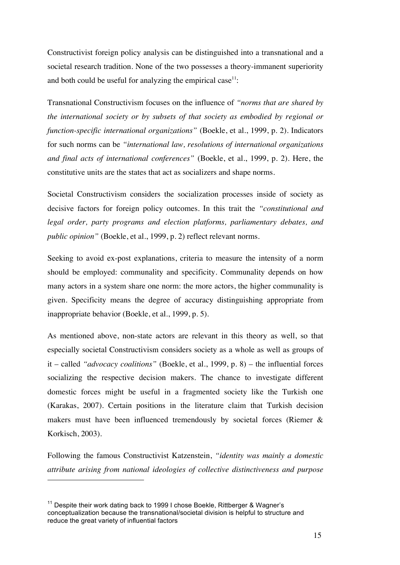Constructivist foreign policy analysis can be distinguished into a transnational and a societal research tradition. None of the two possesses a theory-immanent superiority and both could be useful for analyzing the empirical case $11$ :

Transnational Constructivism focuses on the influence of *"norms that are shared by the international society or by subsets of that society as embodied by regional or function-specific international organizations"* (Boekle, et al., 1999, p. 2). Indicators for such norms can be *"international law, resolutions of international organizations and final acts of international conferences"* (Boekle, et al., 1999, p. 2). Here, the constitutive units are the states that act as socializers and shape norms.

Societal Constructivism considers the socialization processes inside of society as decisive factors for foreign policy outcomes. In this trait the *"constitutional and legal order, party programs and election platforms, parliamentary debates, and public opinion"* (Boekle, et al., 1999, p. 2) reflect relevant norms.

Seeking to avoid ex-post explanations, criteria to measure the intensity of a norm should be employed: communality and specificity. Communality depends on how many actors in a system share one norm: the more actors, the higher communality is given. Specificity means the degree of accuracy distinguishing appropriate from inappropriate behavior (Boekle, et al., 1999, p. 5).

As mentioned above, non-state actors are relevant in this theory as well, so that especially societal Constructivism considers society as a whole as well as groups of it – called *"advocacy coalitions"* (Boekle, et al., 1999, p. 8) – the influential forces socializing the respective decision makers. The chance to investigate different domestic forces might be useful in a fragmented society like the Turkish one (Karakas, 2007). Certain positions in the literature claim that Turkish decision makers must have been influenced tremendously by societal forces (Riemer & Korkisch, 2003).

Following the famous Constructivist Katzenstein, *"identity was mainly a domestic attribute arising from national ideologies of collective distinctiveness and purpose* 

<sup>&</sup>lt;sup>11</sup> Despite their work dating back to 1999 I chose Boekle, Rittberger & Wagner's conceptualization because the transnational/societal division is helpful to structure and reduce the great variety of influential factors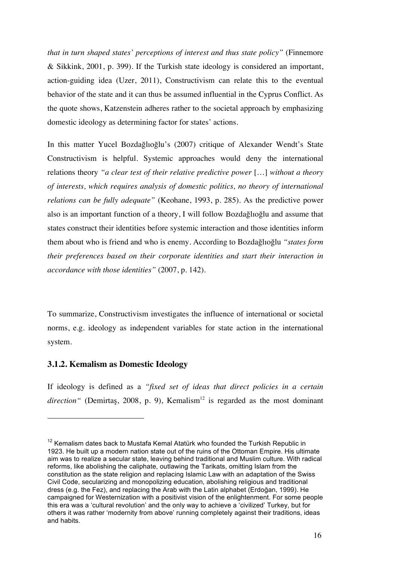*that in turn shaped states' perceptions of interest and thus state policy"* (Finnemore & Sikkink, 2001, p. 399). If the Turkish state ideology is considered an important, action-guiding idea (Uzer, 2011), Constructivism can relate this to the eventual behavior of the state and it can thus be assumed influential in the Cyprus Conflict. As the quote shows, Katzenstein adheres rather to the societal approach by emphasizing domestic ideology as determining factor for states' actions.

In this matter Yucel Bozdağlıoğlu's (2007) critique of Alexander Wendt's State Constructivism is helpful. Systemic approaches would deny the international relations theory *"a clear test of their relative predictive power* […] *without a theory of interests, which requires analysis of domestic politics, no theory of international relations can be fully adequate"* (Keohane, 1993, p. 285). As the predictive power also is an important function of a theory, I will follow Bozdağlıoğlu and assume that states construct their identities before systemic interaction and those identities inform them about who is friend and who is enemy. According to Bozdağlıoğlu *"states form their preferences based on their corporate identities and start their interaction in accordance with those identities"* (2007, p. 142).

To summarize, Constructivism investigates the influence of international or societal norms, e.g. ideology as independent variables for state action in the international system.

#### **3.1.2. Kemalism as Domestic Ideology**

 $\overline{a}$ 

If ideology is defined as a *"fixed set of ideas that direct policies in a certain*   $direction''$  (Demirtas, 2008, p. 9), Kemalism<sup>12</sup> is regarded as the most dominant

 $12$  Kemalism dates back to Mustafa Kemal Atatürk who founded the Turkish Republic in 1923. He built up a modern nation state out of the ruins of the Ottoman Empire. His ultimate aim was to realize a secular state, leaving behind traditional and Muslim culture. With radical reforms, like abolishing the caliphate, outlawing the Tarikats, omitting Islam from the constitution as the state religion and replacing Islamic Law with an adaptation of the Swiss Civil Code, secularizing and monopolizing education, abolishing religious and traditional dress (e.g. the Fez), and replacing the Arab with the Latin alphabet (Erdoğan, 1999). He campaigned for Westernization with a positivist vision of the enlightenment. For some people this era was a 'cultural revolution' and the only way to achieve a 'civilized' Turkey, but for others it was rather 'modernity from above' running completely against their traditions, ideas and habits.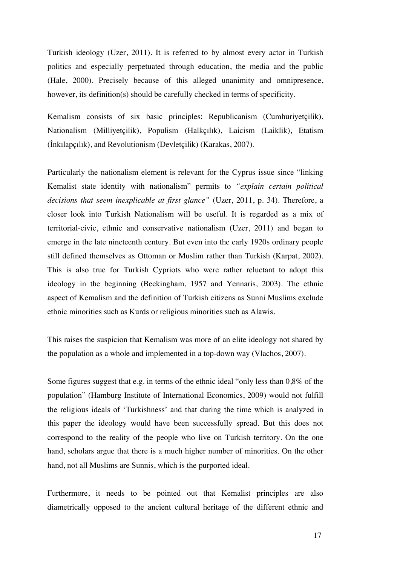Turkish ideology (Uzer, 2011). It is referred to by almost every actor in Turkish politics and especially perpetuated through education, the media and the public (Hale, 2000). Precisely because of this alleged unanimity and omnipresence, however, its definition(s) should be carefully checked in terms of specificity.

Kemalism consists of six basic principles: Republicanism (Cumhuriyetçilik), Nationalism (Milliyetçilik), Populism (Halkçılık), Laicism (Laiklik), Etatism (İnkılapçılık), and Revolutionism (Devletçilik) (Karakas, 2007).

Particularly the nationalism element is relevant for the Cyprus issue since "linking Kemalist state identity with nationalism" permits to *"explain certain political decisions that seem inexplicable at first glance"* (Uzer, 2011, p. 34). Therefore, a closer look into Turkish Nationalism will be useful. It is regarded as a mix of territorial-civic, ethnic and conservative nationalism (Uzer, 2011) and began to emerge in the late nineteenth century. But even into the early 1920s ordinary people still defined themselves as Ottoman or Muslim rather than Turkish (Karpat, 2002). This is also true for Turkish Cypriots who were rather reluctant to adopt this ideology in the beginning (Beckingham, 1957 and Yennaris, 2003). The ethnic aspect of Kemalism and the definition of Turkish citizens as Sunni Muslims exclude ethnic minorities such as Kurds or religious minorities such as Alawis.

This raises the suspicion that Kemalism was more of an elite ideology not shared by the population as a whole and implemented in a top-down way (Vlachos, 2007).

Some figures suggest that e.g. in terms of the ethnic ideal "only less than 0,8% of the population" (Hamburg Institute of International Economics, 2009) would not fulfill the religious ideals of 'Turkishness' and that during the time which is analyzed in this paper the ideology would have been successfully spread. But this does not correspond to the reality of the people who live on Turkish territory. On the one hand, scholars argue that there is a much higher number of minorities. On the other hand, not all Muslims are Sunnis, which is the purported ideal.

Furthermore, it needs to be pointed out that Kemalist principles are also diametrically opposed to the ancient cultural heritage of the different ethnic and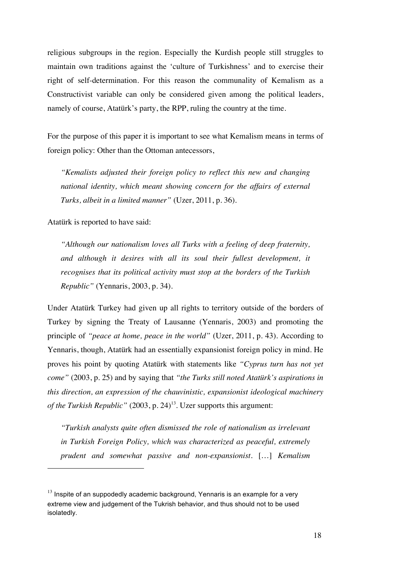religious subgroups in the region. Especially the Kurdish people still struggles to maintain own traditions against the 'culture of Turkishness' and to exercise their right of self-determination. For this reason the communality of Kemalism as a Constructivist variable can only be considered given among the political leaders, namely of course, Atatürk's party, the RPP, ruling the country at the time.

For the purpose of this paper it is important to see what Kemalism means in terms of foreign policy: Other than the Ottoman antecessors,

*"Kemalists adjusted their foreign policy to reflect this new and changing national identity, which meant showing concern for the affairs of external Turks, albeit in a limited manner"* (Uzer, 2011, p. 36).

Atatürk is reported to have said:

 $\overline{a}$ 

*"Although our nationalism loves all Turks with a feeling of deep fraternity,*  and although it desires with all its soul their fullest development, it *recognises that its political activity must stop at the borders of the Turkish Republic"* (Yennaris, 2003, p. 34).

Under Atatürk Turkey had given up all rights to territory outside of the borders of Turkey by signing the Treaty of Lausanne (Yennaris, 2003) and promoting the principle of *"peace at home, peace in the world"* (Uzer, 2011, p. 43). According to Yennaris, though, Atatürk had an essentially expansionist foreign policy in mind. He proves his point by quoting Atatürk with statements like *"Cyprus turn has not yet come"* (2003, p. 25) and by saying that *"the Turks still noted Atatürk's aspirations in this direction, an expression of the chauvinistic, expansionist ideological machinery of the Turkish Republic"* (2003, p. 24) 13. Uzer supports this argument:

*"Turkish analysts quite often dismissed the role of nationalism as irrelevant in Turkish Foreign Policy, which was characterized as peaceful, extremely prudent and somewhat passive and non-expansionist.* […] *Kemalism* 

 $13$  Inspite of an suppodedly academic background, Yennaris is an example for a very extreme view and judgement of the Tukrish behavior, and thus should not to be used isolatedly.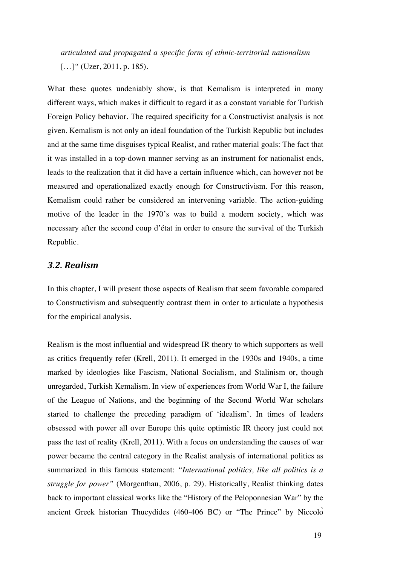*articulated and propagated a specific form of ethnic-territorial nationalism*  [...]" (Uzer, 2011, p. 185).

What these quotes undeniably show, is that Kemalism is interpreted in many different ways, which makes it difficult to regard it as a constant variable for Turkish Foreign Policy behavior. The required specificity for a Constructivist analysis is not given. Kemalism is not only an ideal foundation of the Turkish Republic but includes and at the same time disguises typical Realist, and rather material goals: The fact that it was installed in a top-down manner serving as an instrument for nationalist ends, leads to the realization that it did have a certain influence which, can however not be measured and operationalized exactly enough for Constructivism. For this reason, Kemalism could rather be considered an intervening variable. The action-guiding motive of the leader in the 1970's was to build a modern society, which was necessary after the second coup d'état in order to ensure the survival of the Turkish Republic.

#### *3.2. Realism*

In this chapter, I will present those aspects of Realism that seem favorable compared to Constructivism and subsequently contrast them in order to articulate a hypothesis for the empirical analysis.

Realism is the most influential and widespread IR theory to which supporters as well as critics frequently refer (Krell, 2011). It emerged in the 1930s and 1940s, a time marked by ideologies like Fascism, National Socialism, and Stalinism or, though unregarded, Turkish Kemalism. In view of experiences from World War I, the failure of the League of Nations, and the beginning of the Second World War scholars started to challenge the preceding paradigm of 'idealism'. In times of leaders obsessed with power all over Europe this quite optimistic IR theory just could not pass the test of reality (Krell, 2011). With a focus on understanding the causes of war power became the central category in the Realist analysis of international politics as summarized in this famous statement: *"International politics, like all politics is a struggle for power"* (Morgenthau, 2006, p. 29). Historically, Realist thinking dates back to important classical works like the "History of the Peloponnesian War" by the ancient Greek historian Thucydides (460-406 BC) or "The Prince" by Niccolò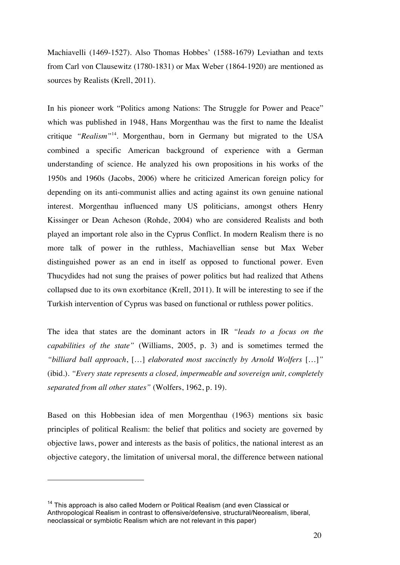Machiavelli (1469-1527). Also Thomas Hobbes' (1588-1679) Leviathan and texts from Carl von Clausewitz (1780-1831) or Max Weber (1864-1920) are mentioned as sources by Realists (Krell, 2011).

In his pioneer work "Politics among Nations: The Struggle for Power and Peace" which was published in 1948, Hans Morgenthau was the first to name the Idealist critique *"Realism"*14. Morgenthau, born in Germany but migrated to the USA combined a specific American background of experience with a German understanding of science. He analyzed his own propositions in his works of the 1950s and 1960s (Jacobs, 2006) where he criticized American foreign policy for depending on its anti-communist allies and acting against its own genuine national interest. Morgenthau influenced many US politicians, amongst others Henry Kissinger or Dean Acheson (Rohde, 2004) who are considered Realists and both played an important role also in the Cyprus Conflict. In modern Realism there is no more talk of power in the ruthless, Machiavellian sense but Max Weber distinguished power as an end in itself as opposed to functional power. Even Thucydides had not sung the praises of power politics but had realized that Athens collapsed due to its own exorbitance (Krell, 2011). It will be interesting to see if the Turkish intervention of Cyprus was based on functional or ruthless power politics.

The idea that states are the dominant actors in IR *"leads to a focus on the capabilities of the state"* (Williams, 2005, p. 3) and is sometimes termed the *"billiard ball approach*, […] *elaborated most succinctly by Arnold Wolfers* […]*"* (ibid.). *"Every state represents a closed, impermeable and sovereign unit, completely separated from all other states"* (Wolfers, 1962, p. 19).

Based on this Hobbesian idea of men Morgenthau (1963) mentions six basic principles of political Realism: the belief that politics and society are governed by objective laws, power and interests as the basis of politics, the national interest as an objective category, the limitation of universal moral, the difference between national

<sup>&</sup>lt;sup>14</sup> This approach is also called Modern or Political Realism (and even Classical or Anthropological Realism in contrast to offensive/defensive, structural/Neorealism, liberal, neoclassical or symbiotic Realism which are not relevant in this paper)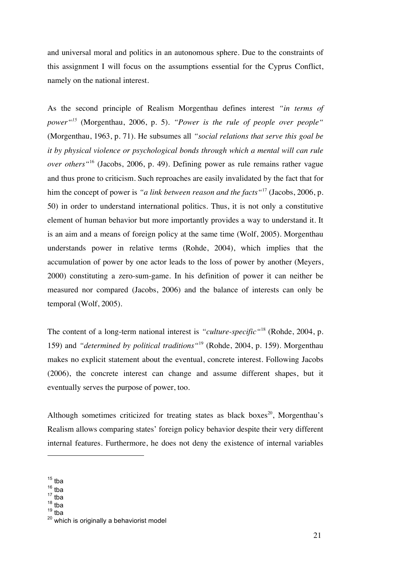and universal moral and politics in an autonomous sphere. Due to the constraints of this assignment I will focus on the assumptions essential for the Cyprus Conflict, namely on the national interest.

As the second principle of Realism Morgenthau defines interest *"in terms of power"<sup>15</sup>* (Morgenthau, 2006, p. 5). *"Power is the rule of people over people"* (Morgenthau, 1963, p. 71). He subsumes all *"social relations that serve this goal be it by physical violence or psychological bonds through which a mental will can rule over others"*<sup>16</sup> (Jacobs, 2006, p. 49). Defining power as rule remains rather vague and thus prone to criticism. Such reproaches are easily invalidated by the fact that for him the concept of power is *"a link between reason and the facts* "<sup>17</sup> (Jacobs, 2006, p. 50) in order to understand international politics. Thus, it is not only a constitutive element of human behavior but more importantly provides a way to understand it. It is an aim and a means of foreign policy at the same time (Wolf, 2005). Morgenthau understands power in relative terms (Rohde, 2004), which implies that the accumulation of power by one actor leads to the loss of power by another (Meyers, 2000) constituting a zero-sum-game. In his definition of power it can neither be measured nor compared (Jacobs, 2006) and the balance of interests can only be temporal (Wolf, 2005).

The content of a long-term national interest is *"culture-specific"*<sup>18</sup> (Rohde, 2004, p. 159) and *"determined by political traditions"*<sup>19</sup> (Rohde, 2004, p. 159). Morgenthau makes no explicit statement about the eventual, concrete interest. Following Jacobs (2006), the concrete interest can change and assume different shapes, but it eventually serves the purpose of power, too.

Although sometimes criticized for treating states as black boxes<sup>20</sup>, Morgenthau's Realism allows comparing states' foreign policy behavior despite their very different internal features. Furthermore, he does not deny the existence of internal variables

- $17 \text{ tha}$
- $18 \text{ tha}$

 $15$  tba

 $16$  tba

 $19$  tba

<sup>&</sup>lt;sup>20</sup> which is originally a behaviorist model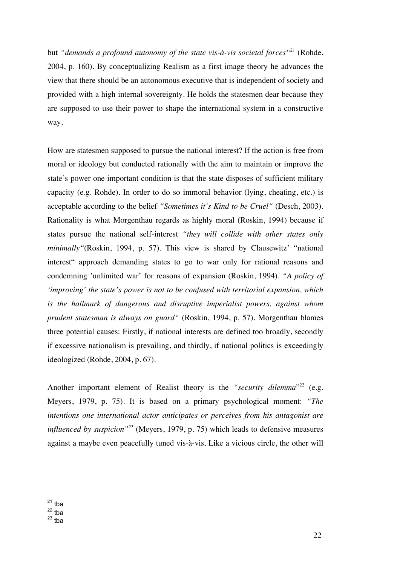but *"demands a profound autonomy of the state vis-à-vis societal forces* "<sup>21</sup> (Rohde, 2004, p. 160). By conceptualizing Realism as a first image theory he advances the view that there should be an autonomous executive that is independent of society and provided with a high internal sovereignty. He holds the statesmen dear because they are supposed to use their power to shape the international system in a constructive way.

How are statesmen supposed to pursue the national interest? If the action is free from moral or ideology but conducted rationally with the aim to maintain or improve the state's power one important condition is that the state disposes of sufficient military capacity (e.g. Rohde). In order to do so immoral behavior (lying, cheating, etc.) is acceptable according to the belief *"Sometimes it's Kind to be Cruel"* (Desch, 2003). Rationality is what Morgenthau regards as highly moral (Roskin, 1994) because if states pursue the national self-interest *"they will collide with other states only minimally"*(Roskin, 1994, p. 57). This view is shared by Clausewitz' "national interest" approach demanding states to go to war only for rational reasons and condemning 'unlimited war' for reasons of expansion (Roskin, 1994). *"A policy of 'improving' the state's power is not to be confused with territorial expansion, which is the hallmark of dangerous and disruptive imperialist powers, against whom prudent statesman is always on guard"* (Roskin, 1994, p. 57). Morgenthau blames three potential causes: Firstly, if national interests are defined too broadly, secondly if excessive nationalism is prevailing, and thirdly, if national politics is exceedingly ideologized (Rohde, 2004, p. 67).

Another important element of Realist theory is the *"security dilemma*"<sup>22</sup> (e.g. Meyers, 1979, p. 75). It is based on a primary psychological moment: *"The intentions one international actor anticipates or perceives from his antagonist are influenced by suspicion"*<sup>23</sup> (Meyers, 1979, p. 75) which leads to defensive measures against a maybe even peacefully tuned vis-à-vis. Like a vicious circle, the other will

 $21$  tba

 $^{22}$  tba

 $23$  tba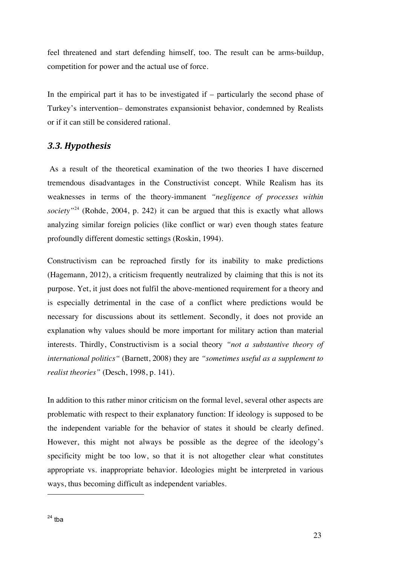feel threatened and start defending himself, too. The result can be arms-buildup, competition for power and the actual use of force.

In the empirical part it has to be investigated if – particularly the second phase of Turkey's intervention– demonstrates expansionist behavior, condemned by Realists or if it can still be considered rational.

#### *3.3. Hypothesis*

As a result of the theoretical examination of the two theories I have discerned tremendous disadvantages in the Constructivist concept. While Realism has its weaknesses in terms of the theory-immanent *"negligence of processes within society"*<sup>24</sup> (Rohde, 2004, p. 242) it can be argued that this is exactly what allows analyzing similar foreign policies (like conflict or war) even though states feature profoundly different domestic settings (Roskin, 1994).

Constructivism can be reproached firstly for its inability to make predictions (Hagemann, 2012), a criticism frequently neutralized by claiming that this is not its purpose. Yet, it just does not fulfil the above-mentioned requirement for a theory and is especially detrimental in the case of a conflict where predictions would be necessary for discussions about its settlement. Secondly, it does not provide an explanation why values should be more important for military action than material interests. Thirdly, Constructivism is a social theory *"not a substantive theory of international politics"* (Barnett, 2008) they are *"sometimes useful as a supplement to realist theories"* (Desch, 1998, p. 141).

In addition to this rather minor criticism on the formal level, several other aspects are problematic with respect to their explanatory function: If ideology is supposed to be the independent variable for the behavior of states it should be clearly defined. However, this might not always be possible as the degree of the ideology's specificity might be too low, so that it is not altogether clear what constitutes appropriate vs. inappropriate behavior. Ideologies might be interpreted in various ways, thus becoming difficult as independent variables.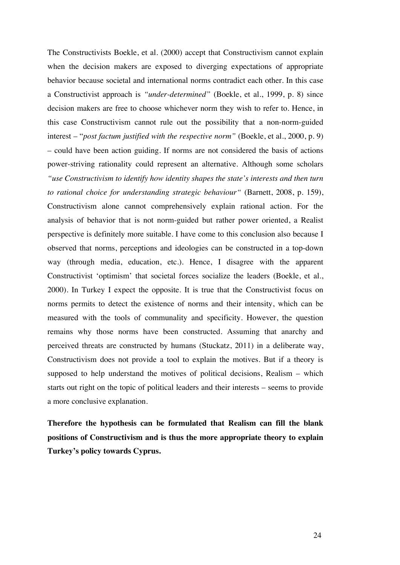The Constructivists Boekle, et al. (2000) accept that Constructivism cannot explain when the decision makers are exposed to diverging expectations of appropriate behavior because societal and international norms contradict each other. In this case a Constructivist approach is *"under-determined"* (Boekle, et al., 1999, p. 8) since decision makers are free to choose whichever norm they wish to refer to. Hence, in this case Constructivism cannot rule out the possibility that a non-norm-guided interest – "*post factum justified with the respective norm"* (Boekle, et al., 2000, p. 9) – could have been action guiding. If norms are not considered the basis of actions power-striving rationality could represent an alternative. Although some scholars *"use Constructivism to identify how identity shapes the state's interests and then turn to rational choice for understanding strategic behaviour"* (Barnett, 2008, p. 159), Constructivism alone cannot comprehensively explain rational action. For the analysis of behavior that is not norm-guided but rather power oriented, a Realist perspective is definitely more suitable. I have come to this conclusion also because I observed that norms, perceptions and ideologies can be constructed in a top-down way (through media, education, etc.). Hence, I disagree with the apparent Constructivist 'optimism' that societal forces socialize the leaders (Boekle, et al., 2000). In Turkey I expect the opposite. It is true that the Constructivist focus on norms permits to detect the existence of norms and their intensity, which can be measured with the tools of communality and specificity. However, the question remains why those norms have been constructed. Assuming that anarchy and perceived threats are constructed by humans (Stuckatz, 2011) in a deliberate way, Constructivism does not provide a tool to explain the motives. But if a theory is supposed to help understand the motives of political decisions, Realism – which starts out right on the topic of political leaders and their interests – seems to provide a more conclusive explanation.

**Therefore the hypothesis can be formulated that Realism can fill the blank positions of Constructivism and is thus the more appropriate theory to explain Turkey's policy towards Cyprus.**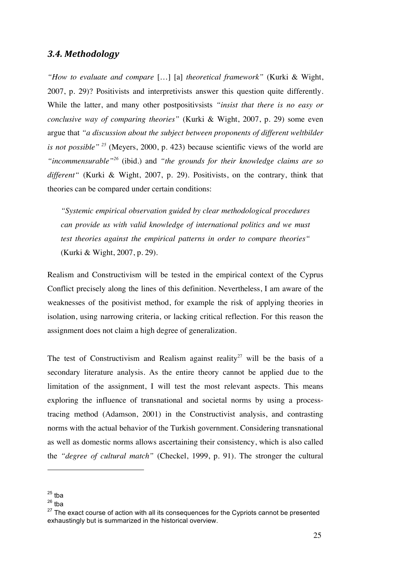#### *3.4. Methodology*

*"How to evaluate and compare* […] [a] *theoretical framework"* (Kurki & Wight, 2007, p. 29)? Positivists and interpretivists answer this question quite differently. While the latter, and many other postpositivsists *"insist that there is no easy or conclusive way of comparing theories"* (Kurki & Wight, 2007, p. 29) some even argue that *"a discussion about the subject between proponents of different weltbilder is not possible" <sup>25</sup>* (Meyers, 2000, p. 423) because scientific views of the world are *"incommensurable"26* (ibid.) and *"the grounds for their knowledge claims are so different"* (Kurki & Wight, 2007, p. 29). Positivists, on the contrary, think that theories can be compared under certain conditions:

*"Systemic empirical observation guided by clear methodological procedures can provide us with valid knowledge of international politics and we must test theories against the empirical patterns in order to compare theories"* (Kurki & Wight, 2007, p. 29).

Realism and Constructivism will be tested in the empirical context of the Cyprus Conflict precisely along the lines of this definition. Nevertheless, I am aware of the weaknesses of the positivist method, for example the risk of applying theories in isolation, using narrowing criteria, or lacking critical reflection. For this reason the assignment does not claim a high degree of generalization.

The test of Constructivism and Realism against reality<sup>27</sup> will be the basis of a secondary literature analysis. As the entire theory cannot be applied due to the limitation of the assignment, I will test the most relevant aspects. This means exploring the influence of transnational and societal norms by using a processtracing method (Adamson, 2001) in the Constructivist analysis, and contrasting norms with the actual behavior of the Turkish government. Considering transnational as well as domestic norms allows ascertaining their consistency, which is also called the *"degree of cultural match"* (Checkel, 1999, p. 91). The stronger the cultural

 $25$  tba

 $26$  tha

 $27$  The exact course of action with all its consequences for the Cypriots cannot be presented exhaustingly but is summarized in the historical overview.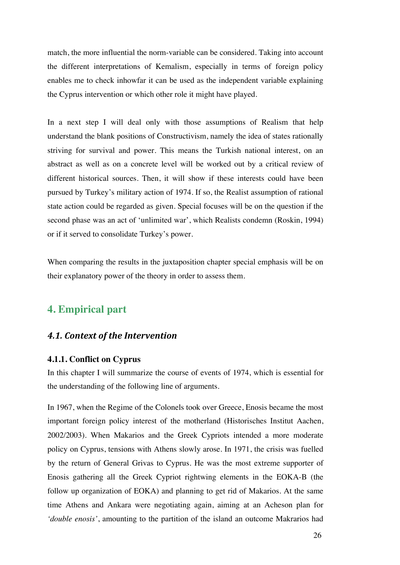match, the more influential the norm-variable can be considered. Taking into account the different interpretations of Kemalism, especially in terms of foreign policy enables me to check inhowfar it can be used as the independent variable explaining the Cyprus intervention or which other role it might have played.

In a next step I will deal only with those assumptions of Realism that help understand the blank positions of Constructivism, namely the idea of states rationally striving for survival and power. This means the Turkish national interest, on an abstract as well as on a concrete level will be worked out by a critical review of different historical sources. Then, it will show if these interests could have been pursued by Turkey's military action of 1974. If so, the Realist assumption of rational state action could be regarded as given. Special focuses will be on the question if the second phase was an act of 'unlimited war', which Realists condemn (Roskin, 1994) or if it served to consolidate Turkey's power.

When comparing the results in the juxtaposition chapter special emphasis will be on their explanatory power of the theory in order to assess them.

## **4. Empirical part**

#### *4.1. Context of the Intervention*

#### **4.1.1. Conflict on Cyprus**

In this chapter I will summarize the course of events of 1974, which is essential for the understanding of the following line of arguments.

In 1967, when the Regime of the Colonels took over Greece, Enosis became the most important foreign policy interest of the motherland (Historisches Institut Aachen, 2002/2003). When Makarios and the Greek Cypriots intended a more moderate policy on Cyprus, tensions with Athens slowly arose. In 1971, the crisis was fuelled by the return of General Grivas to Cyprus. He was the most extreme supporter of Enosis gathering all the Greek Cypriot rightwing elements in the EOKA-B (the follow up organization of EOKA) and planning to get rid of Makarios. At the same time Athens and Ankara were negotiating again, aiming at an Acheson plan for *'double enosis'*, amounting to the partition of the island an outcome Makrarios had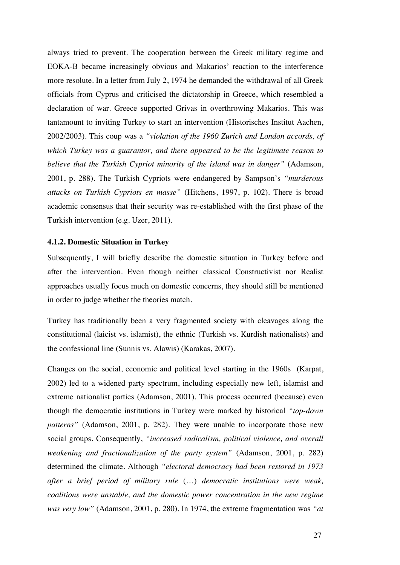always tried to prevent. The cooperation between the Greek military regime and EOKA-B became increasingly obvious and Makarios' reaction to the interference more resolute. In a letter from July 2, 1974 he demanded the withdrawal of all Greek officials from Cyprus and criticised the dictatorship in Greece, which resembled a declaration of war. Greece supported Grivas in overthrowing Makarios. This was tantamount to inviting Turkey to start an intervention (Historisches Institut Aachen, 2002/2003). This coup was a *"violation of the 1960 Zurich and London accords, of which Turkey was a guarantor, and there appeared to be the legitimate reason to believe that the Turkish Cypriot minority of the island was in danger"* (Adamson, 2001, p. 288). The Turkish Cypriots were endangered by Sampson's *"murderous attacks on Turkish Cypriots en masse"* (Hitchens, 1997, p. 102). There is broad academic consensus that their security was re-established with the first phase of the Turkish intervention (e.g. Uzer, 2011).

#### **4.1.2. Domestic Situation in Turkey**

Subsequently, I will briefly describe the domestic situation in Turkey before and after the intervention. Even though neither classical Constructivist nor Realist approaches usually focus much on domestic concerns, they should still be mentioned in order to judge whether the theories match.

Turkey has traditionally been a very fragmented society with cleavages along the constitutional (laicist vs. islamist), the ethnic (Turkish vs. Kurdish nationalists) and the confessional line (Sunnis vs. Alawis) (Karakas, 2007).

Changes on the social, economic and political level starting in the 1960s (Karpat, 2002) led to a widened party spectrum, including especially new left, islamist and extreme nationalist parties (Adamson, 2001). This process occurred (because) even though the democratic institutions in Turkey were marked by historical *"top-down patterns"* (Adamson, 2001, p. 282). They were unable to incorporate those new social groups. Consequently, *"increased radicalism, political violence, and overall weakening and fractionalization of the party system"* (Adamson, 2001, p. 282) determined the climate. Although *"electoral democracy had been restored in 1973 after a brief period of military rule* (…) *democratic institutions were weak, coalitions were unstable, and the domestic power concentration in the new regime was very low"* (Adamson, 2001, p. 280). In 1974, the extreme fragmentation was *"at*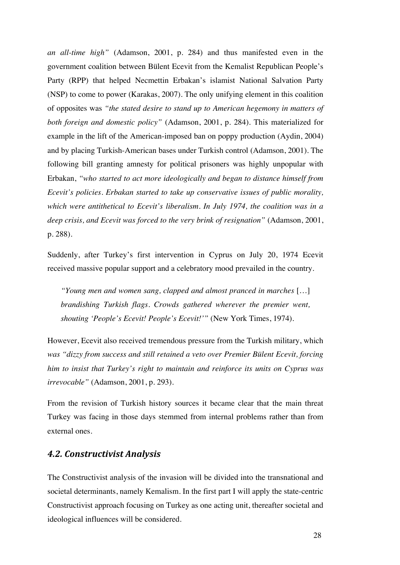*an all-time high"* (Adamson, 2001, p. 284) and thus manifested even in the government coalition between Bülent Ecevit from the Kemalist Republican People's Party (RPP) that helped Necmettin Erbakan's islamist National Salvation Party (NSP) to come to power (Karakas, 2007). The only unifying element in this coalition of opposites was *"the stated desire to stand up to American hegemony in matters of both foreign and domestic policy"* (Adamson, 2001, p. 284). This materialized for example in the lift of the American-imposed ban on poppy production (Aydin, 2004) and by placing Turkish-American bases under Turkish control (Adamson, 2001). The following bill granting amnesty for political prisoners was highly unpopular with Erbakan, *"who started to act more ideologically and began to distance himself from Ecevit's policies. Erbakan started to take up conservative issues of public morality, which were antithetical to Ecevit's liberalism. In July 1974, the coalition was in a deep crisis, and Ecevit was forced to the very brink of resignation"* (Adamson, 2001, p. 288).

Suddenly, after Turkey's first intervention in Cyprus on July 20, 1974 Ecevit received massive popular support and a celebratory mood prevailed in the country.

*"Young men and women sang, clapped and almost pranced in marches* […] *brandishing Turkish flags. Crowds gathered wherever the premier went, shouting 'People's Ecevit! People's Ecevit!'"* (New York Times, 1974).

However, Ecevit also received tremendous pressure from the Turkish military, which *was "dizzy from success and still retained a veto over Premier Bülent Ecevit, forcing him to insist that Turkey's right to maintain and reinforce its units on Cyprus was irrevocable"* (Adamson, 2001, p. 293).

From the revision of Turkish history sources it became clear that the main threat Turkey was facing in those days stemmed from internal problems rather than from external ones.

#### *4.2. Constructivist Analysis*

The Constructivist analysis of the invasion will be divided into the transnational and societal determinants, namely Kemalism. In the first part I will apply the state-centric Constructivist approach focusing on Turkey as one acting unit, thereafter societal and ideological influences will be considered.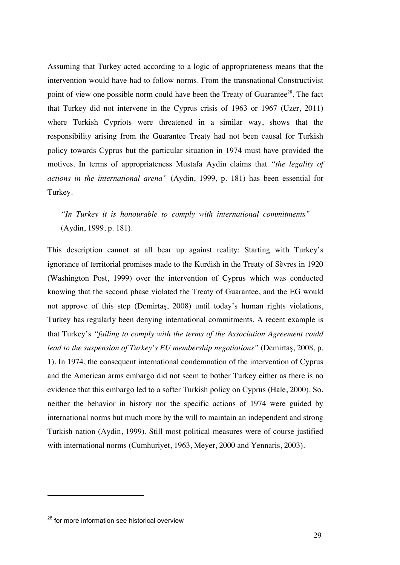Assuming that Turkey acted according to a logic of appropriateness means that the intervention would have had to follow norms. From the transnational Constructivist point of view one possible norm could have been the Treaty of Guarantee<sup>28</sup>. The fact that Turkey did not intervene in the Cyprus crisis of 1963 or 1967 (Uzer, 2011) where Turkish Cypriots were threatened in a similar way, shows that the responsibility arising from the Guarantee Treaty had not been causal for Turkish policy towards Cyprus but the particular situation in 1974 must have provided the motives. In terms of appropriateness Mustafa Aydin claims that *"the legality of actions in the international arena"* (Aydin, 1999, p. 181) has been essential for Turkey.

*"In Turkey it is honourable to comply with international commitments"* (Aydin, 1999, p. 181).

This description cannot at all bear up against reality: Starting with Turkey's ignorance of territorial promises made to the Kurdish in the Treaty of Sèvres in 1920 (Washington Post, 1999) over the intervention of Cyprus which was conducted knowing that the second phase violated the Treaty of Guarantee, and the EG would not approve of this step (Demirtaş, 2008) until today's human rights violations, Turkey has regularly been denying international commitments. A recent example is that Turkey's *"failing to comply with the terms of the Association Agreement could lead to the suspension of Turkey's EU membership negotiations"* (Demirtaş, 2008, p. 1). In 1974, the consequent international condemnation of the intervention of Cyprus and the American arms embargo did not seem to bother Turkey either as there is no evidence that this embargo led to a softer Turkish policy on Cyprus (Hale, 2000). So, neither the behavior in history nor the specific actions of 1974 were guided by international norms but much more by the will to maintain an independent and strong Turkish nation (Aydin, 1999). Still most political measures were of course justified with international norms (Cumhuriyet, 1963, Meyer, 2000 and Yennaris, 2003).

<sup>&</sup>lt;sup>28</sup> for more information see historical overview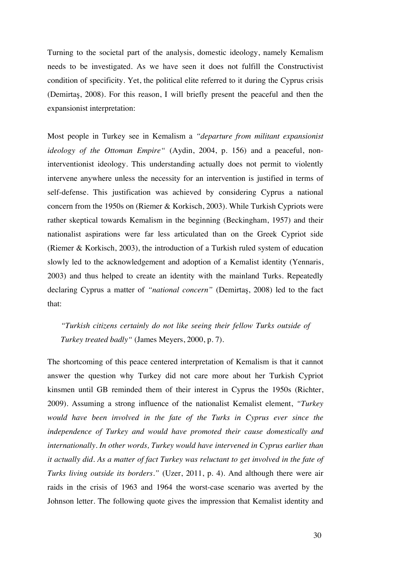Turning to the societal part of the analysis, domestic ideology, namely Kemalism needs to be investigated. As we have seen it does not fulfill the Constructivist condition of specificity. Yet, the political elite referred to it during the Cyprus crisis (Demirtaş, 2008). For this reason, I will briefly present the peaceful and then the expansionist interpretation:

Most people in Turkey see in Kemalism a *"departure from militant expansionist ideology of the Ottoman Empire"* (Aydin, 2004, p. 156) and a peaceful, noninterventionist ideology. This understanding actually does not permit to violently intervene anywhere unless the necessity for an intervention is justified in terms of self-defense. This justification was achieved by considering Cyprus a national concern from the 1950s on (Riemer & Korkisch, 2003). While Turkish Cypriots were rather skeptical towards Kemalism in the beginning (Beckingham, 1957) and their nationalist aspirations were far less articulated than on the Greek Cypriot side (Riemer & Korkisch, 2003), the introduction of a Turkish ruled system of education slowly led to the acknowledgement and adoption of a Kemalist identity (Yennaris, 2003) and thus helped to create an identity with the mainland Turks. Repeatedly declaring Cyprus a matter of *"national concern"* (Demirtaş, 2008) led to the fact that:

*"Turkish citizens certainly do not like seeing their fellow Turks outside of Turkey treated badly"* (James Meyers, 2000, p. 7).

The shortcoming of this peace centered interpretation of Kemalism is that it cannot answer the question why Turkey did not care more about her Turkish Cypriot kinsmen until GB reminded them of their interest in Cyprus the 1950s (Richter, 2009). Assuming a strong influence of the nationalist Kemalist element, *"Turkey would have been involved in the fate of the Turks in Cyprus ever since the independence of Turkey and would have promoted their cause domestically and internationally. In other words, Turkey would have intervened in Cyprus earlier than it actually did. As a matter of fact Turkey was reluctant to get involved in the fate of Turks living outside its borders."* (Uzer, 2011, p. 4). And although there were air raids in the crisis of 1963 and 1964 the worst-case scenario was averted by the Johnson letter. The following quote gives the impression that Kemalist identity and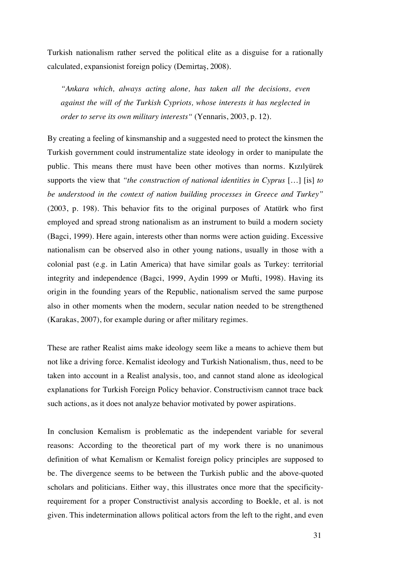Turkish nationalism rather served the political elite as a disguise for a rationally calculated, expansionist foreign policy (Demirtaş, 2008).

*"Ankara which, always acting alone, has taken all the decisions, even against the will of the Turkish Cypriots, whose interests it has neglected in order to serve its own military interests"* (Yennaris, 2003, p. 12).

By creating a feeling of kinsmanship and a suggested need to protect the kinsmen the Turkish government could instrumentalize state ideology in order to manipulate the public. This means there must have been other motives than norms. Kızılyürek supports the view that *"the construction of national identities in Cyprus* […] [is] *to be understood in the context of nation building processes in Greece and Turkey"* (2003, p. 198). This behavior fits to the original purposes of Atatürk who first employed and spread strong nationalism as an instrument to build a modern society (Bagci, 1999). Here again, interests other than norms were action guiding. Excessive nationalism can be observed also in other young nations, usually in those with a colonial past (e.g. in Latin America) that have similar goals as Turkey: territorial integrity and independence (Bagci, 1999, Aydin 1999 or Mufti, 1998). Having its origin in the founding years of the Republic, nationalism served the same purpose also in other moments when the modern, secular nation needed to be strengthened (Karakas, 2007), for example during or after military regimes.

These are rather Realist aims make ideology seem like a means to achieve them but not like a driving force. Kemalist ideology and Turkish Nationalism, thus, need to be taken into account in a Realist analysis, too, and cannot stand alone as ideological explanations for Turkish Foreign Policy behavior. Constructivism cannot trace back such actions, as it does not analyze behavior motivated by power aspirations.

In conclusion Kemalism is problematic as the independent variable for several reasons: According to the theoretical part of my work there is no unanimous definition of what Kemalism or Kemalist foreign policy principles are supposed to be. The divergence seems to be between the Turkish public and the above-quoted scholars and politicians. Either way, this illustrates once more that the specificityrequirement for a proper Constructivist analysis according to Boekle, et al. is not given. This indetermination allows political actors from the left to the right, and even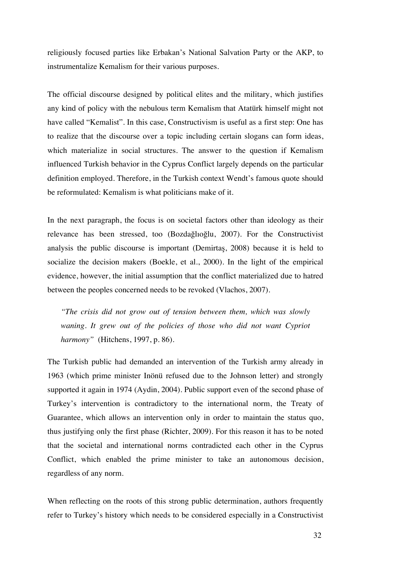religiously focused parties like Erbakan's National Salvation Party or the AKP, to instrumentalize Kemalism for their various purposes.

The official discourse designed by political elites and the military, which justifies any kind of policy with the nebulous term Kemalism that Atatürk himself might not have called "Kemalist". In this case, Constructivism is useful as a first step: One has to realize that the discourse over a topic including certain slogans can form ideas, which materialize in social structures. The answer to the question if Kemalism influenced Turkish behavior in the Cyprus Conflict largely depends on the particular definition employed. Therefore, in the Turkish context Wendt's famous quote should be reformulated: Kemalism is what politicians make of it.

In the next paragraph, the focus is on societal factors other than ideology as their relevance has been stressed, too (Bozdağlıoğlu, 2007). For the Constructivist analysis the public discourse is important (Demirtaş, 2008) because it is held to socialize the decision makers (Boekle, et al., 2000). In the light of the empirical evidence, however, the initial assumption that the conflict materialized due to hatred between the peoples concerned needs to be revoked (Vlachos, 2007).

*"The crisis did not grow out of tension between them, which was slowly waning. It grew out of the policies of those who did not want Cypriot harmony"* (Hitchens, 1997, p. 86).

The Turkish public had demanded an intervention of the Turkish army already in 1963 (which prime minister Inönü refused due to the Johnson letter) and strongly supported it again in 1974 (Aydin, 2004). Public support even of the second phase of Turkey's intervention is contradictory to the international norm, the Treaty of Guarantee, which allows an intervention only in order to maintain the status quo, thus justifying only the first phase (Richter, 2009). For this reason it has to be noted that the societal and international norms contradicted each other in the Cyprus Conflict, which enabled the prime minister to take an autonomous decision, regardless of any norm.

When reflecting on the roots of this strong public determination, authors frequently refer to Turkey's history which needs to be considered especially in a Constructivist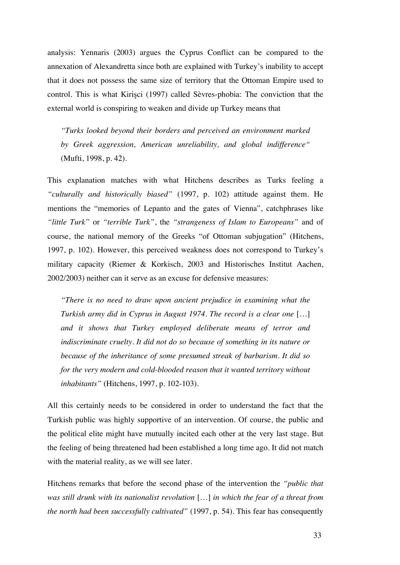analysis: Yennaris (2003) argues the Cyprus Conflict can be compared to the annexation of Alexandretta since both are explained with Turkey's inability to accept that it does not possess the same size of territory that the Ottoman Empire used to control. This is what Kirişci (1997) called Sèvres-phobia: The conviction that the external world is conspiring to weaken and divide up Turkey means that

*"Turks looked beyond their borders and perceived an environment marked by Greek aggression, American unreliability, and global indifference"* (Mufti, 1998, p. 42).

This explanation matches with what Hitchens describes as Turks feeling a *"culturally and historically biased"* (1997, p. 102) attitude against them. He mentions the "memories of Lepanto and the gates of Vienna", catchphrases like *"little Turk"* or *"terrible Turk"*, the *"strangeness of Islam to Europeans"* and of course, the national memory of the Greeks "of Ottoman subjugation" (Hitchens, 1997, p. 102). However, this perceived weakness does not correspond to Turkey's military capacity (Riemer & Korkisch, 2003 and Historisches Institut Aachen, 2002/2003) neither can it serve as an excuse for defensive measures:

*"There is no need to draw upon ancient prejudice in examining what the Turkish army did in Cyprus in August 1974. The record is a clear one* […] *and it shows that Turkey employed deliberate means of terror and indiscriminate cruelty. It did not do so because of something in its nature or because of the inheritance of some presumed streak of barbarism. It did so for the very modern and cold-blooded reason that it wanted territory without inhabitants"* (Hitchens, 1997, p. 102-103).

All this certainly needs to be considered in order to understand the fact that the Turkish public was highly supportive of an intervention. Of course, the public and the political elite might have mutually incited each other at the very last stage. But the feeling of being threatened had been established a long time ago. It did not match with the material reality, as we will see later.

Hitchens remarks that before the second phase of the intervention the *"public that was still drunk with its nationalist revolution* […] *in which the fear of a threat from the north had been successfully cultivated"* (1997, p. 54). This fear has consequently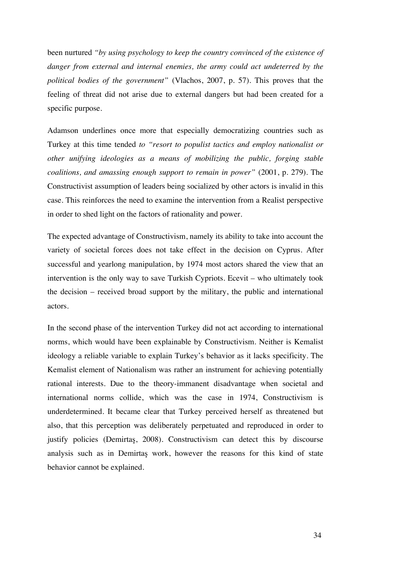been nurtured *"by using psychology to keep the country convinced of the existence of danger from external and internal enemies, the army could act undeterred by the political bodies of the government"* (Vlachos, 2007, p. 57). This proves that the feeling of threat did not arise due to external dangers but had been created for a specific purpose.

Adamson underlines once more that especially democratizing countries such as Turkey at this time tended *to "resort to populist tactics and employ nationalist or other unifying ideologies as a means of mobilizing the public, forging stable coalitions, and amassing enough support to remain in power"* (2001, p. 279). The Constructivist assumption of leaders being socialized by other actors is invalid in this case. This reinforces the need to examine the intervention from a Realist perspective in order to shed light on the factors of rationality and power.

The expected advantage of Constructivism, namely its ability to take into account the variety of societal forces does not take effect in the decision on Cyprus. After successful and yearlong manipulation, by 1974 most actors shared the view that an intervention is the only way to save Turkish Cypriots. Ecevit – who ultimately took the decision – received broad support by the military, the public and international actors.

In the second phase of the intervention Turkey did not act according to international norms, which would have been explainable by Constructivism. Neither is Kemalist ideology a reliable variable to explain Turkey's behavior as it lacks specificity. The Kemalist element of Nationalism was rather an instrument for achieving potentially rational interests. Due to the theory-immanent disadvantage when societal and international norms collide, which was the case in 1974, Constructivism is underdetermined. It became clear that Turkey perceived herself as threatened but also, that this perception was deliberately perpetuated and reproduced in order to justify policies (Demirtaş, 2008). Constructivism can detect this by discourse analysis such as in Demirtaş work, however the reasons for this kind of state behavior cannot be explained.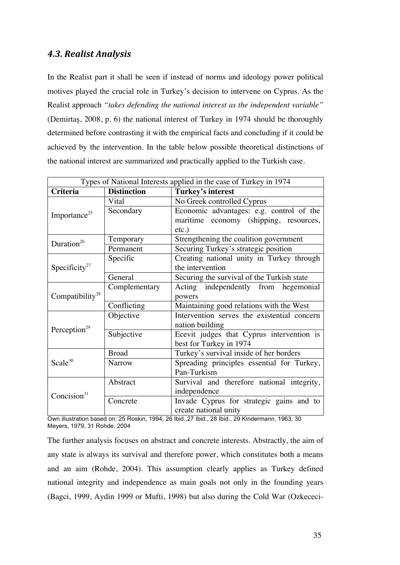#### *4.3. Realist Analysis*

In the Realist part it shall be seen if instead of norms and ideology power political motives played the crucial role in Turkey's decision to intervene on Cyprus. As the Realist approach *"takes defending the national interest as the independent variable"* (Demirtaş, 2008, p. 6) the national interest of Turkey in 1974 should be thoroughly determined before contrasting it with the empirical facts and concluding if it could be achieved by the intervention. In the table below possible theoretical distinctions of the national interest are summarized and practically applied to the Turkish case.

| Types of National Interests applied in the case of Turkey in 1974 |                    |                                             |
|-------------------------------------------------------------------|--------------------|---------------------------------------------|
| <b>Criteria</b>                                                   | <b>Distinction</b> | Turkey's interest                           |
|                                                                   | Vital              | No Greek controlled Cyprus                  |
| Importance <sup>25</sup>                                          | Secondary          | Economic advantages: e.g. control of the    |
|                                                                   |                    | maritime economy (shipping, resources,      |
|                                                                   |                    | $etc.$ )                                    |
| Duration <sup>26</sup>                                            | Temporary          | Strengthening the coalition government      |
|                                                                   | Permanent          | Securing Turkey's strategic position        |
|                                                                   | Specific           | Creating national unity in Turkey through   |
| Specificity <sup>27</sup>                                         |                    | the intervention                            |
|                                                                   | General            | Securing the survival of the Turkish state  |
|                                                                   | Complementary      | Acting independently from hegemonial        |
| Compatibility <sup>28</sup>                                       |                    | powers                                      |
|                                                                   | Conflicting        | Maintaining good relations with the West    |
|                                                                   | Objective          | Intervention serves the existential concern |
| Perception <sup>29</sup>                                          |                    | nation building                             |
|                                                                   | Subjective         | Ecevit judges that Cyprus intervention is   |
|                                                                   |                    | best for Turkey in 1974                     |
|                                                                   | <b>Broad</b>       | Turkey's survival inside of her borders     |
| Scale <sup>30</sup>                                               | <b>Narrow</b>      | Spreading principles essential for Turkey,  |
|                                                                   |                    | Pan-Turkism                                 |
|                                                                   | Abstract           | Survival and therefore national integrity,  |
| Concision $31$                                                    |                    | independence                                |
|                                                                   | Concrete           | Invade Cyprus for strategic gains and to    |
|                                                                   |                    | create national unity                       |

Own illustration based on: 25 Roskin, 1994, 26 Ibid.,27 Ibid., 28 Ibid., 29 Kindermann, 1963, 30 Meyers, 1979, 31 Rohde, 2004

The further analysis focuses on abstract and concrete interests. Abstractly, the aim of any state is always its survival and therefore power, which constitutes both a means and an aim (Rohde, 2004). This assumption clearly applies as Turkey defined national integrity and independence as main goals not only in the founding years (Bagci, 1999, Aydin 1999 or Mufti, 1998) but also during the Cold War (Ozkececi-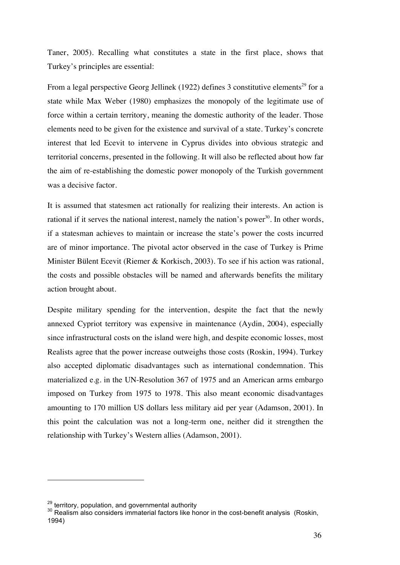Taner, 2005). Recalling what constitutes a state in the first place, shows that Turkey's principles are essential:

From a legal perspective Georg Jellinek (1922) defines 3 constitutive elements<sup>29</sup> for a state while Max Weber (1980) emphasizes the monopoly of the legitimate use of force within a certain territory, meaning the domestic authority of the leader. Those elements need to be given for the existence and survival of a state. Turkey's concrete interest that led Ecevit to intervene in Cyprus divides into obvious strategic and territorial concerns, presented in the following. It will also be reflected about how far the aim of re-establishing the domestic power monopoly of the Turkish government was a decisive factor.

It is assumed that statesmen act rationally for realizing their interests. An action is rational if it serves the national interest, namely the nation's power $30$ . In other words, if a statesman achieves to maintain or increase the state's power the costs incurred are of minor importance. The pivotal actor observed in the case of Turkey is Prime Minister Bülent Ecevit (Riemer & Korkisch, 2003). To see if his action was rational, the costs and possible obstacles will be named and afterwards benefits the military action brought about.

Despite military spending for the intervention, despite the fact that the newly annexed Cypriot territory was expensive in maintenance (Aydin, 2004), especially since infrastructural costs on the island were high, and despite economic losses, most Realists agree that the power increase outweighs those costs (Roskin, 1994). Turkey also accepted diplomatic disadvantages such as international condemnation. This materialized e.g. in the UN-Resolution 367 of 1975 and an American arms embargo imposed on Turkey from 1975 to 1978. This also meant economic disadvantages amounting to 170 million US dollars less military aid per year (Adamson, 2001). In this point the calculation was not a long-term one, neither did it strengthen the relationship with Turkey's Western allies (Adamson, 2001).

 $^{29}$  territory, population, and governmental authority<br><sup>30</sup> Realism also considers immaterial factors like honor in the cost-benefit analysis (Roskin, 1994)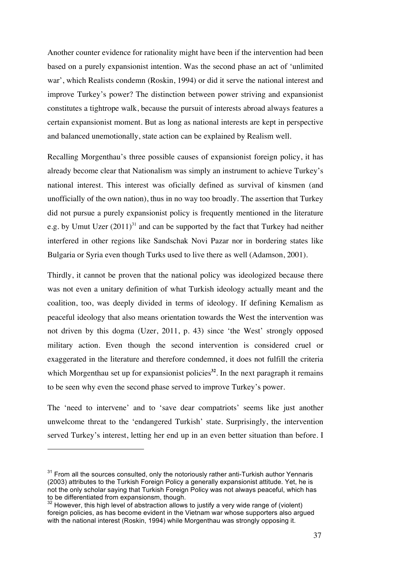Another counter evidence for rationality might have been if the intervention had been based on a purely expansionist intention. Was the second phase an act of 'unlimited war', which Realists condemn (Roskin, 1994) or did it serve the national interest and improve Turkey's power? The distinction between power striving and expansionist constitutes a tightrope walk, because the pursuit of interests abroad always features a certain expansionist moment. But as long as national interests are kept in perspective and balanced unemotionally, state action can be explained by Realism well.

Recalling Morgenthau's three possible causes of expansionist foreign policy, it has already become clear that Nationalism was simply an instrument to achieve Turkey's national interest. This interest was oficially defined as survival of kinsmen (and unofficially of the own nation), thus in no way too broadly. The assertion that Turkey did not pursue a purely expansionist policy is frequently mentioned in the literature e.g. by Umut Uzer  $(2011)^{31}$  and can be supported by the fact that Turkey had neither interfered in other regions like Sandschak Novi Pazar nor in bordering states like Bulgaria or Syria even though Turks used to live there as well (Adamson, 2001).

Thirdly, it cannot be proven that the national policy was ideologized because there was not even a unitary definition of what Turkish ideology actually meant and the coalition, too, was deeply divided in terms of ideology. If defining Kemalism as peaceful ideology that also means orientation towards the West the intervention was not driven by this dogma (Uzer, 2011, p. 43) since 'the West' strongly opposed military action. Even though the second intervention is considered cruel or exaggerated in the literature and therefore condemned, it does not fulfill the criteria which Morgenthau set up for expansionist policies<sup>32</sup>. In the next paragraph it remains to be seen why even the second phase served to improve Turkey's power.

The 'need to intervene' and to 'save dear compatriots' seems like just another unwelcome threat to the 'endangered Turkish' state. Surprisingly, the intervention served Turkey's interest, letting her end up in an even better situation than before. I

 $31$  From all the sources consulted, only the notoriously rather anti-Turkish author Yennaris (2003) attributes to the Turkish Foreign Policy a generally expansionist attitude. Yet, he is not the only scholar saying that Turkish Foreign Policy was not always peaceful, which has to be differentiated from expansionsm, though.

<sup>&</sup>lt;sup>32</sup> However, this high level of abstraction allows to justify a very wide range of (violent) foreign policies, as has become evident in the Vietnam war whose supporters also argued with the national interest (Roskin, 1994) while Morgenthau was strongly opposing it.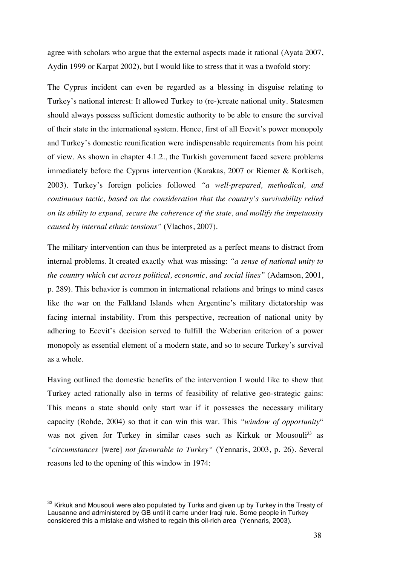agree with scholars who argue that the external aspects made it rational (Ayata 2007, Aydin 1999 or Karpat 2002), but I would like to stress that it was a twofold story:

The Cyprus incident can even be regarded as a blessing in disguise relating to Turkey's national interest: It allowed Turkey to (re-)create national unity. Statesmen should always possess sufficient domestic authority to be able to ensure the survival of their state in the international system. Hence, first of all Ecevit's power monopoly and Turkey's domestic reunification were indispensable requirements from his point of view. As shown in chapter 4.1.2., the Turkish government faced severe problems immediately before the Cyprus intervention (Karakas, 2007 or Riemer & Korkisch, 2003). Turkey's foreign policies followed *"a well-prepared, methodical, and continuous tactic, based on the consideration that the country's survivability relied on its ability to expand, secure the coherence of the state, and mollify the impetuosity caused by internal ethnic tensions"* (Vlachos, 2007).

The military intervention can thus be interpreted as a perfect means to distract from internal problems. It created exactly what was missing: *"a sense of national unity to the country which cut across political, economic, and social lines"* (Adamson, 2001, p. 289). This behavior is common in international relations and brings to mind cases like the war on the Falkland Islands when Argentine's military dictatorship was facing internal instability. From this perspective, recreation of national unity by adhering to Ecevit's decision served to fulfill the Weberian criterion of a power monopoly as essential element of a modern state, and so to secure Turkey's survival as a whole.

Having outlined the domestic benefits of the intervention I would like to show that Turkey acted rationally also in terms of feasibility of relative geo-strategic gains: This means a state should only start war if it possesses the necessary military capacity (Rohde, 2004) so that it can win this war. This *"window of opportunity*" was not given for Turkey in similar cases such as Kirkuk or Mousouli<sup>33</sup> as *"circumstances* [were] *not favourable to Turkey"* (Yennaris, 2003, p. 26). Several reasons led to the opening of this window in 1974:

<sup>&</sup>lt;sup>33</sup> Kirkuk and Mousouli were also populated by Turks and given up by Turkey in the Treaty of Lausanne and administered by GB until it came under Iraqi rule. Some people in Turkey considered this a mistake and wished to regain this oil-rich area (Yennaris, 2003).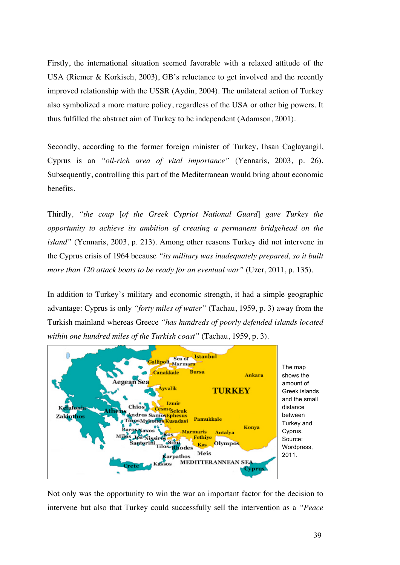Firstly, the international situation seemed favorable with a relaxed attitude of the USA (Riemer & Korkisch, 2003), GB's reluctance to get involved and the recently improved relationship with the USSR (Aydin, 2004). The unilateral action of Turkey also symbolized a more mature policy, regardless of the USA or other big powers. It thus fulfilled the abstract aim of Turkey to be independent (Adamson, 2001).

Secondly, according to the former foreign minister of Turkey, Ihsan Caglayangil, Cyprus is an *"oil-rich area of vital importance"* (Yennaris, 2003, p. 26). Subsequently, controlling this part of the Mediterranean would bring about economic benefits.

Thirdly*, "the coup* [*of the Greek Cypriot National Guard*] *gave Turkey the opportunity to achieve its ambition of creating a permanent bridgehead on the island"* (Yennaris, 2003, p. 213). Among other reasons Turkey did not intervene in the Cyprus crisis of 1964 because *"its military was inadequately prepared, so it built more than 120 attack boats to be ready for an eventual war"* (Uzer, 2011, p. 135).

In addition to Turkey's military and economic strength, it had a simple geographic advantage: Cyprus is only *"forty miles of water"* (Tachau, 1959, p. 3) away from the Turkish mainland whereas Greece *"has hundreds of poorly defended islands located within one hundred miles of the Turkish coast"* (Tachau, 1959, p. 3).



Not only was the opportunity to win the war an important factor for the decision to intervene but also that Turkey could successfully sell the intervention as a *"Peace*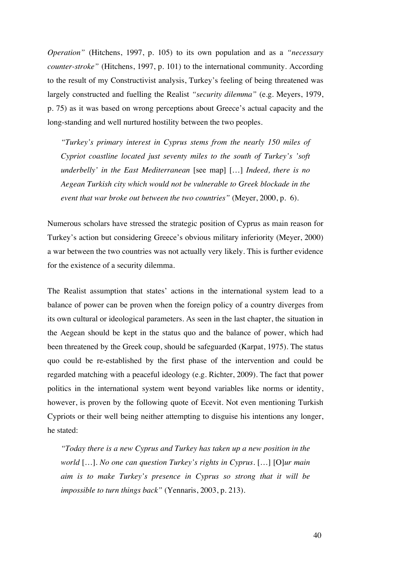*Operation"* (Hitchens, 1997, p. 105) to its own population and as a *"necessary counter-stroke"* (Hitchens, 1997, p. 101) to the international community. According to the result of my Constructivist analysis, Turkey's feeling of being threatened was largely constructed and fuelling the Realist *"security dilemma"* (e.g. Meyers, 1979, p. 75) as it was based on wrong perceptions about Greece's actual capacity and the long-standing and well nurtured hostility between the two peoples.

*"Turkey's primary interest in Cyprus stems from the nearly 150 miles of Cypriot coastline located just seventy miles to the south of Turkey's 'soft underbelly' in the East Mediterranean* [see map] […] *Indeed, there is no Aegean Turkish city which would not be vulnerable to Greek blockade in the event that war broke out between the two countries"* (Meyer, 2000, p. 6).

Numerous scholars have stressed the strategic position of Cyprus as main reason for Turkey's action but considering Greece's obvious military inferiority (Meyer, 2000) a war between the two countries was not actually very likely. This is further evidence for the existence of a security dilemma.

The Realist assumption that states' actions in the international system lead to a balance of power can be proven when the foreign policy of a country diverges from its own cultural or ideological parameters. As seen in the last chapter, the situation in the Aegean should be kept in the status quo and the balance of power, which had been threatened by the Greek coup, should be safeguarded (Karpat, 1975). The status quo could be re-established by the first phase of the intervention and could be regarded matching with a peaceful ideology (e.g. Richter, 2009). The fact that power politics in the international system went beyond variables like norms or identity, however, is proven by the following quote of Ecevit. Not even mentioning Turkish Cypriots or their well being neither attempting to disguise his intentions any longer, he stated:

*"Today there is a new Cyprus and Turkey has taken up a new position in the world* […]*. No one can question Turkey's rights in Cyprus.* […] [O]*ur main aim is to make Turkey's presence in Cyprus so strong that it will be impossible to turn things back"* (Yennaris, 2003, p. 213).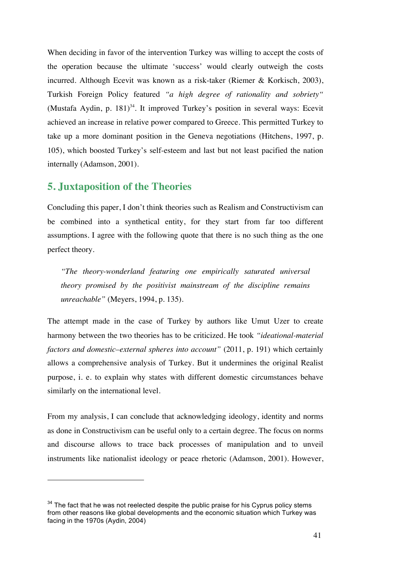When deciding in favor of the intervention Turkey was willing to accept the costs of the operation because the ultimate 'success' would clearly outweigh the costs incurred. Although Ecevit was known as a risk-taker (Riemer & Korkisch, 2003), Turkish Foreign Policy featured *"a high degree of rationality and sobriety"* (Mustafa Aydin, p. 181)<sup>34</sup>. It improved Turkey's position in several ways: Ecevit achieved an increase in relative power compared to Greece. This permitted Turkey to take up a more dominant position in the Geneva negotiations (Hitchens, 1997, p. 105), which boosted Turkey's self-esteem and last but not least pacified the nation internally (Adamson, 2001).

#### **5. Juxtaposition of the Theories**

 $\overline{a}$ 

Concluding this paper, I don't think theories such as Realism and Constructivism can be combined into a synthetical entity, for they start from far too different assumptions. I agree with the following quote that there is no such thing as the one perfect theory.

*"The theory-wonderland featuring one empirically saturated universal theory promised by the positivist mainstream of the discipline remains unreachable"* (Meyers, 1994, p. 135).

The attempt made in the case of Turkey by authors like Umut Uzer to create harmony between the two theories has to be criticized. He took *"ideational-material factors and domestic–external spheres into account"* (2011, p. 191) which certainly allows a comprehensive analysis of Turkey. But it undermines the original Realist purpose, i. e. to explain why states with different domestic circumstances behave similarly on the international level.

From my analysis, I can conclude that acknowledging ideology, identity and norms as done in Constructivism can be useful only to a certain degree. The focus on norms and discourse allows to trace back processes of manipulation and to unveil instruments like nationalist ideology or peace rhetoric (Adamson, 2001). However,

 $34$  The fact that he was not reelected despite the public praise for his Cyprus policy stems from other reasons like global developments and the economic situation which Turkey was facing in the 1970s (Aydin, 2004)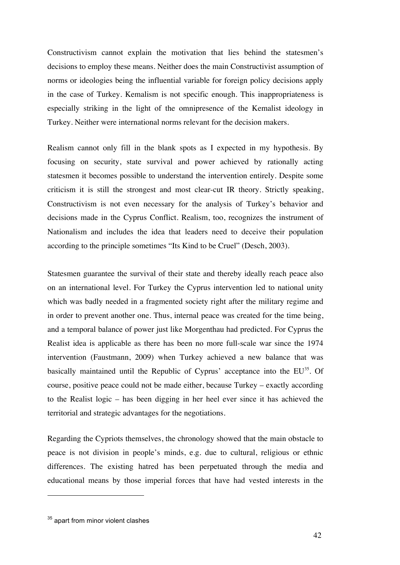Constructivism cannot explain the motivation that lies behind the statesmen's decisions to employ these means. Neither does the main Constructivist assumption of norms or ideologies being the influential variable for foreign policy decisions apply in the case of Turkey. Kemalism is not specific enough. This inappropriateness is especially striking in the light of the omnipresence of the Kemalist ideology in Turkey. Neither were international norms relevant for the decision makers.

Realism cannot only fill in the blank spots as I expected in my hypothesis. By focusing on security, state survival and power achieved by rationally acting statesmen it becomes possible to understand the intervention entirely. Despite some criticism it is still the strongest and most clear-cut IR theory. Strictly speaking, Constructivism is not even necessary for the analysis of Turkey's behavior and decisions made in the Cyprus Conflict. Realism, too, recognizes the instrument of Nationalism and includes the idea that leaders need to deceive their population according to the principle sometimes "Its Kind to be Cruel" (Desch, 2003).

Statesmen guarantee the survival of their state and thereby ideally reach peace also on an international level. For Turkey the Cyprus intervention led to national unity which was badly needed in a fragmented society right after the military regime and in order to prevent another one. Thus, internal peace was created for the time being, and a temporal balance of power just like Morgenthau had predicted. For Cyprus the Realist idea is applicable as there has been no more full-scale war since the 1974 intervention (Faustmann, 2009) when Turkey achieved a new balance that was basically maintained until the Republic of Cyprus' acceptance into the  $EU^{35}$ . Of course, positive peace could not be made either, because Turkey – exactly according to the Realist logic – has been digging in her heel ever since it has achieved the territorial and strategic advantages for the negotiations.

Regarding the Cypriots themselves, the chronology showed that the main obstacle to peace is not division in people's minds, e.g. due to cultural, religious or ethnic differences. The existing hatred has been perpetuated through the media and educational means by those imperial forces that have had vested interests in the

 $35$  apart from minor violent clashes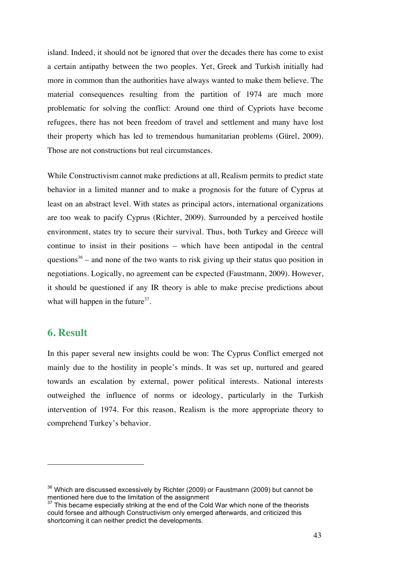island. Indeed, it should not be ignored that over the decades there has come to exist a certain antipathy between the two peoples. Yet, Greek and Turkish initially had more in common than the authorities have always wanted to make them believe. The material consequences resulting from the partition of 1974 are much more problematic for solving the conflict: Around one third of Cypriots have become refugees, there has not been freedom of travel and settlement and many have lost their property which has led to tremendous humanitarian problems (Gürel, 2009). Those are not constructions but real circumstances.

While Constructivism cannot make predictions at all, Realism permits to predict state behavior in a limited manner and to make a prognosis for the future of Cyprus at least on an abstract level. With states as principal actors, international organizations are too weak to pacify Cyprus (Richter, 2009). Surrounded by a perceived hostile environment, states try to secure their survival. Thus, both Turkey and Greece will continue to insist in their positions – which have been antipodal in the central questions<sup>36</sup> – and none of the two wants to risk giving up their status quo position in negotiations. Logically, no agreement can be expected (Faustmann, 2009). However, it should be questioned if any IR theory is able to make precise predictions about what will happen in the future  $37$ .

#### **6. Result**

 $\overline{a}$ 

In this paper several new insights could be won: The Cyprus Conflict emerged not mainly due to the hostility in people's minds. It was set up, nurtured and geared towards an escalation by external, power political interests. National interests outweighed the influence of norms or ideology, particularly in the Turkish intervention of 1974. For this reason, Realism is the more appropriate theory to comprehend Turkey's behavior.

 $36$  Which are discussed excessively by Richter (2009) or Faustmann (2009) but cannot be mentioned here due to the limitation of the assignment

 $37$  This became especially striking at the end of the Cold War which none of the theorists could forsee and although Constructivism only emerged afterwards, and criticized this shortcoming it can neither predict the developments.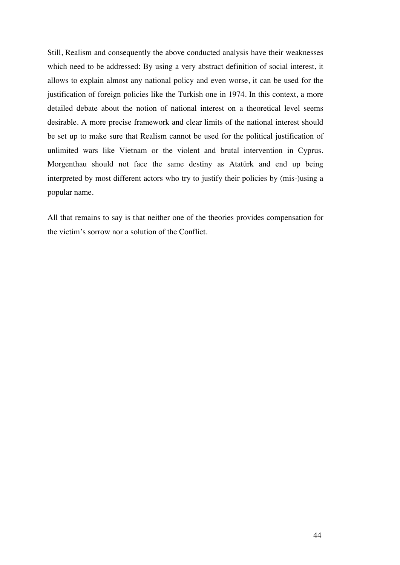Still, Realism and consequently the above conducted analysis have their weaknesses which need to be addressed: By using a very abstract definition of social interest, it allows to explain almost any national policy and even worse, it can be used for the justification of foreign policies like the Turkish one in 1974. In this context, a more detailed debate about the notion of national interest on a theoretical level seems desirable. A more precise framework and clear limits of the national interest should be set up to make sure that Realism cannot be used for the political justification of unlimited wars like Vietnam or the violent and brutal intervention in Cyprus. Morgenthau should not face the same destiny as Atatürk and end up being interpreted by most different actors who try to justify their policies by (mis-)using a popular name.

All that remains to say is that neither one of the theories provides compensation for the victim's sorrow nor a solution of the Conflict.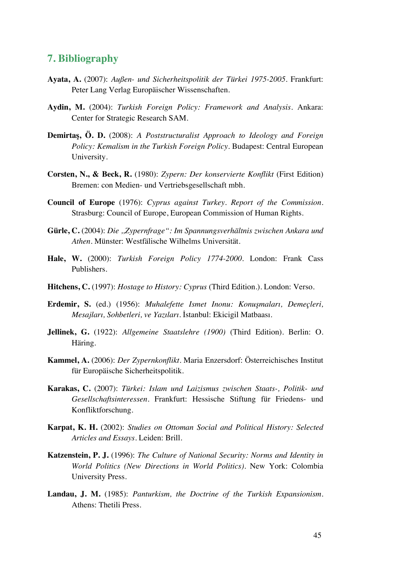#### **7. Bibliography**

- **Ayata, A.** (2007): *Außen- und Sicherheitspolitik der Türkei 1975-2005*. Frankfurt: Peter Lang Verlag Europäischer Wissenschaften.
- **Aydin, M.** (2004): *Turkish Foreign Policy: Framework and Analysis*. Ankara: Center for Strategic Research SAM.
- **Demirtaş, Ö. D.** (2008): *A Poststructuralist Approach to Ideology and Foreign Policy: Kemalism in the Turkish Foreign Policy*. Budapest: Central European University.
- **Corsten, N., & Beck, R.** (1980): *Zypern: Der konservierte Konflikt* (First Edition) Bremen: con Medien- und Vertriebsgesellschaft mbh.
- **Council of Europe** (1976): *Cyprus against Turkey. Report of the Commission.* Strasburg: Council of Europe, European Commission of Human Rights.
- **Gürle, C.** (2004): *Die ,,Zypernfrage": Im Spannungsverhältnis zwischen Ankara und Athen.* Münster: Westfälische Wilhelms Universität.
- **Hale, W.** (2000): *Turkish Foreign Policy 1774-2000.* London: Frank Cass Publishers.
- **Hitchens, C.** (1997): *Hostage to History: Cyprus* (Third Edition.). London: Verso.
- **Erdemir, S.** (ed.) (1956): *Muhalefette Ismet Inonu: Konuşmaları, Demeçleri, Mesajları, Sohbetleri, ve Yazıları.* İstanbul: Ekicigil Matbaası.
- **Jellinek, G.** (1922): *Allgemeine Staatslehre (1900)* (Third Edition). Berlin: O. Häring.
- **Kammel, A.** (2006): *Der Zypernkonflikt.* Maria Enzersdorf: Österreichisches Institut für Europäische Sicherheitspolitik.
- **Karakas, C.** (2007): *Türkei: Islam und Laizismus zwischen Staats-, Politik- und Gesellschaftsinteressen.* Frankfurt: Hessische Stiftung für Friedens- und Konfliktforschung.
- **Karpat, K. H.** (2002): *Studies on Ottoman Social and Political History: Selected Articles and Essays.* Leiden: Brill.
- **Katzenstein, P. J.** (1996): *The Culture of National Security: Norms and Identity in World Politics (New Directions in World Politics)*. New York: Colombia University Press.
- **Landau, J. M.** (1985): *Panturkism, the Doctrine of the Turkish Expansionism.* Athens: Thetili Press.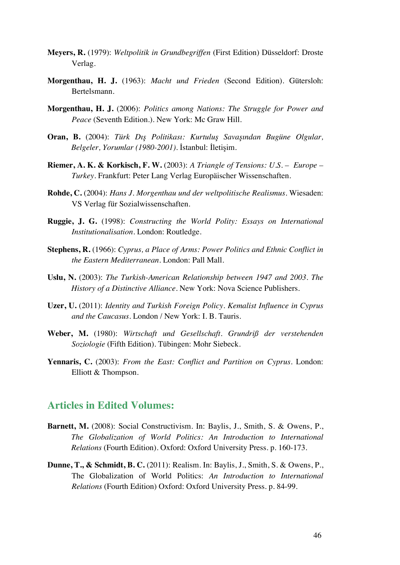- **Meyers, R.** (1979): *Weltpolitik in Grundbegriffen* (First Edition) Düsseldorf: Droste Verlag.
- **Morgenthau, H. J.** (1963): *Macht und Frieden* (Second Edition). Gütersloh: Bertelsmann.
- **Morgenthau, H. J.** (2006): *Politics among Nations: The Struggle for Power and Peace* (Seventh Edition.). New York: Mc Graw Hill.
- **Oran, B.** (2004): *Türk Dış Politikası: Kurtuluş Savaşından Bugüne Olgular, Belgeler, Yorumlar (1980-2001)*. İstanbul: İletişim.
- **Riemer, A. K. & Korkisch, F. W.** (2003): *A Triangle of Tensions: U.S. Europe Turkey.* Frankfurt: Peter Lang Verlag Europäischer Wissenschaften.
- **Rohde, C.** (2004): *Hans J. Morgenthau und der weltpolitische Realismus.* Wiesaden: VS Verlag für Sozialwissenschaften.
- **Ruggie, J. G.** (1998): *Constructing the World Polity: Essays on International Institutionalisation.* London: Routledge.
- **Stephens, R.** (1966): *Cyprus, a Place of Arms: Power Politics and Ethnic Conflict in the Eastern Mediterranean.* London: Pall Mall.
- **Uslu, N.** (2003): *The Turkish-American Relationship between 1947 and 2003. The History of a Distinctive Alliance.* New York: Nova Science Publishers.
- **Uzer, U.** (2011): *Identity and Turkish Foreign Policy. Kemalist Influence in Cyprus and the Caucasus.* London / New York: I. B. Tauris.
- **Weber, M.** (1980): *Wirtschaft und Gesellschaft. Grundriß der verstehenden Soziologie* (Fifth Edition). Tübingen: Mohr Siebeck.
- **Yennaris, C.** (2003): *From the East: Conflict and Partition on Cyprus.* London: Elliott & Thompson.

#### **Articles in Edited Volumes:**

- **Barnett, M.** (2008): Social Constructivism. In: Baylis, J., Smith, S. & Owens, P., *The Globalization of World Politics: An Introduction to International Relations* (Fourth Edition). Oxford: Oxford University Press. p. 160-173.
- **Dunne, T., & Schmidt, B. C.** (2011): Realism. In: Baylis, J., Smith, S. & Owens, P., The Globalization of World Politics: *An Introduction to International Relations* (Fourth Edition) Oxford: Oxford University Press. p. 84-99.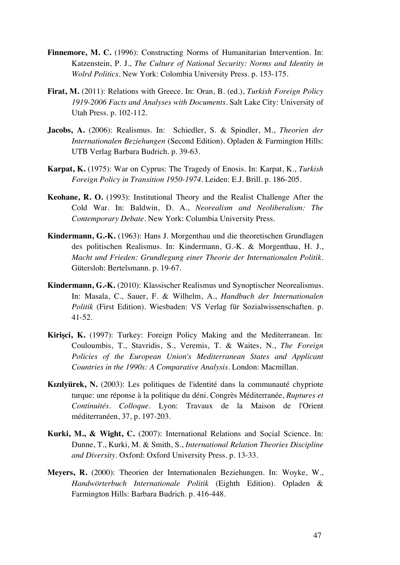- **Finnemore, M. C.** (1996): Constructing Norms of Humanitarian Intervention. In: Katzenstein, P. J., *The Culture of National Security: Norms and Identity in Wolrd Politics.* New York: Colombia University Press. p. 153-175.
- **Firat, M.** (2011): Relations with Greece. In: Oran, B. (ed.), *Turkish Foreign Policy 1919-2006 Facts and Analyses with Documents*. Salt Lake City: University of Utah Press. p. 102-112.
- **Jacobs, A.** (2006): Realismus. In: Schiedler, S. & Spindler, M., *Theorien der Internationalen Beziehungen* (Second Edition). Opladen & Farmington Hills: UTB Verlag Barbara Budrich. p. 39-63.
- **Karpat, K.** (1975): War on Cyprus: The Tragedy of Enosis. In: Karpat, K., *Turkish Foreign Policy in Transition 1950-1974*. Leiden: E.J. Brill. p. 186-205.
- **Keohane, R. O.** (1993): Institutional Theory and the Realist Challenge After the Cold War. In: Baldwin, D. A., *Neorealism and Neoliberalism: The Contemporary Debate.* New York: Columbia University Press.
- **Kindermann, G.-K.** (1963): Hans J. Morgenthau und die theoretischen Grundlagen des politischen Realismus. In: Kindermann, G.-K. & Morgenthau, H. J., *Macht und Frieden: Grundlegung einer Theorie der Internationalen Politik.* Gütersloh: Bertelsmann. p. 19-67.
- **Kindermann, G.-K.** (2010): Klassischer Realismus und Synoptischer Neorealismus. In: Masala, C., Sauer, F. & Wilhelm, A., *Handbuch der Internationalen Politik* (First Edition). Wiesbaden: VS Verlag für Sozialwissenschaften. p. 41-52.
- **Kirişci, K.** (1997): Turkey: Foreign Policy Making and the Mediterranean. In: Couloumbis, T., Stavridis, S., Veremis, T. & Waites, N., *The Foreign Policies of the European Union's Mediterranean States and Applicant Countries in the 1990s: A Comparative Analysis.* London: Macmillan.
- **Kızılyürek, N.** (2003): Les politiques de l'identité dans la communauté chypriote turque: une réponse à la politique du déni*.* Congrès Méditerranée, *Ruptures et Continuités. Colloque.* Lyon: Travaux de la Maison de l'Orient méditerranéen, 37, p. 197-203.
- **Kurki, M., & Wight, C.** (2007): International Relations and Social Science. In: Dunne, T., Kurki, M. & Smith, S., *International Relation Theories Discipline and Diversity.* Oxford: Oxford University Press. p. 13-33.
- **Meyers, R.** (2000): Theorien der Internationalen Beziehungen. In: Woyke, W., *Handwörterbuch Internationale Politik* (Eighth Edition). Opladen & Farmington Hills: Barbara Budrich. p. 416-448.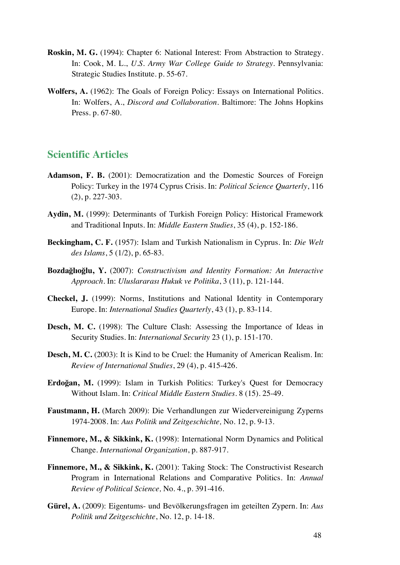- **Roskin, M. G.** (1994): Chapter 6: National Interest: From Abstraction to Strategy. In: Cook, M. L., *U.S. Army War College Guide to Strategy.* Pennsylvania: Strategic Studies Institute. p. 55-67.
- **Wolfers, A.** (1962): The Goals of Foreign Policy: Essays on International Politics. In: Wolfers, A., *Discord and Collaboration.* Baltimore: The Johns Hopkins Press. p. 67-80.

#### **Scientific Articles**

- **Adamson, F. B.** (2001): Democratization and the Domestic Sources of Foreign Policy: Turkey in the 1974 Cyprus Crisis. In: *Political Science Quarterly*, 116 (2), p. 227-303.
- **Aydin, M.** (1999): Determinants of Turkish Foreign Policy: Historical Framework and Traditional Inputs. In: *Middle Eastern Studies*, 35 (4), p. 152-186.
- **Beckingham, C. F.** (1957): Islam and Turkish Nationalism in Cyprus. In: *Die Welt des Islams*, 5 (1/2), p. 65-83.
- **Bozdağlıoğlu, Y.** (2007): *Constructivism and Identity Formation: An Interactive Approach.* In: *Uluslararası Hukuk ve Politika*, 3 (11), p. 121-144.
- **Checkel, J.** (1999): Norms, Institutions and National Identity in Contemporary Europe. In: *International Studies Quarterly*, 43 (1), p. 83-114.
- **Desch, M. C.** (1998): The Culture Clash: Assessing the Importance of Ideas in Security Studies. In: *International Security* 23 (1), p. 151-170.
- **Desch, M. C.** (2003): It is Kind to be Cruel: the Humanity of American Realism. In: *Review of International Studies*, 29 (4), p. 415-426.
- **Erdoğan, M.** (1999): Islam in Turkish Politics: Turkey's Quest for Democracy Without Islam. In: *Critical Middle Eastern Studies*. 8 (15). 25-49.
- **Faustmann, H.** (March 2009): Die Verhandlungen zur Wiedervereinigung Zyperns 1974-2008. In: *Aus Politik und Zeitgeschichte,* No. 12, p. 9-13.
- Finnemore, M., & Sikkink, K. (1998): International Norm Dynamics and Political Change. *International Organization*, p. 887-917.
- **Finnemore, M., & Sikkink, K.** (2001): Taking Stock: The Constructivist Research Program in International Relations and Comparative Politics. In: *Annual Review of Political Science,* No. 4., p. 391-416.
- **Gürel, A.** (2009): Eigentums- und Bevölkerungsfragen im geteilten Zypern. In: *Aus Politik und Zeitgeschichte*, No. 12, p. 14-18.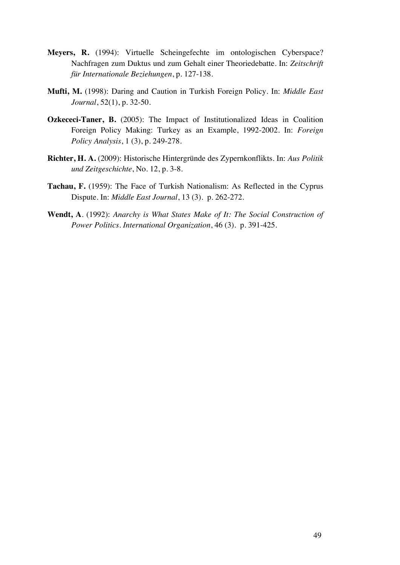- **Meyers, R.** (1994): Virtuelle Scheingefechte im ontologischen Cyberspace? Nachfragen zum Duktus und zum Gehalt einer Theoriedebatte. In: *Zeitschrift für Internationale Beziehungen*, p. 127-138.
- **Mufti, M.** (1998): Daring and Caution in Turkish Foreign Policy. In: *Middle East Journal*, 52(1), p. 32-50.
- **Ozkececi-Taner, B.** (2005): The Impact of Institutionalized Ideas in Coalition Foreign Policy Making: Turkey as an Example, 1992-2002. In: *Foreign Policy Analysis*, 1 (3), p. 249-278.
- **Richter, H. A.** (2009): Historische Hintergründe des Zypernkonflikts. In: *Aus Politik und Zeitgeschichte*, No. 12, p. 3-8.
- **Tachau, F.** (1959): The Face of Turkish Nationalism: As Reflected in the Cyprus Dispute. In: *Middle East Journal*, 13 (3). p. 262-272.
- **Wendt, A**. (1992): *Anarchy is What States Make of It: The Social Construction of Power Politics. International Organization*, 46 (3). p. 391-425.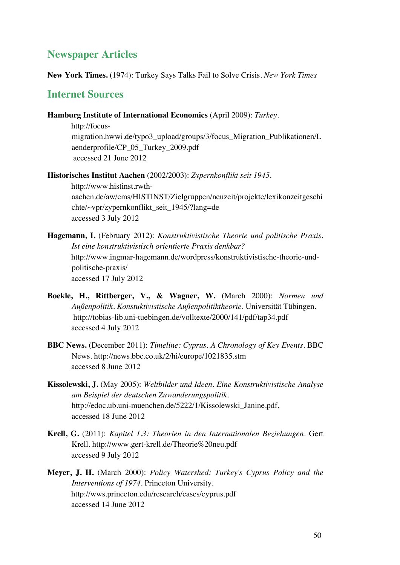## **Newspaper Articles**

**New York Times.** (1974): Turkey Says Talks Fail to Solve Crisis. *New York Times*

#### **Internet Sources**

**Hamburg Institute of International Economics** (April 2009): *Turkey*.

http://focusmigration.hwwi.de/typo3\_upload/groups/3/focus\_Migration\_Publikationen/L aenderprofile/CP\_05\_Turkey\_2009.pdf accessed 21 June 2012

**Historisches Institut Aachen** (2002/2003): *Zypernkonflikt seit 1945*. http://www.histinst.rwthaachen.de/aw/cms/HISTINST/Zielgruppen/neuzeit/projekte/lexikonzeitgeschi chte/~vpr/zypernkonflikt\_seit\_1945/?lang=de accessed 3 July 2012

- **Hagemann, I.** (February 2012): *Konstruktivistische Theorie und politische Praxis. Ist eine konstruktivistisch orientierte Praxis denkbar?* http://www.ingmar-hagemann.de/wordpress/konstruktivistische-theorie-undpolitische-praxis/ accessed 17 July 2012
- **Boekle, H., Rittberger, V., & Wagner, W.** (March 2000): *Normen und Außenpolitik. Konstuktivistische Außenpolitiktheorie.* Universität Tübingen. http://tobias-lib.uni-tuebingen.de/volltexte/2000/141/pdf/tap34.pdf accessed 4 July 2012
- **BBC News.** (December 2011): *Timeline: Cyprus. A Chronology of Key Events.* BBC News. http://news.bbc.co.uk/2/hi/europe/1021835.stm accessed 8 June 2012
- **Kissolewski, J.** (May 2005): *Weltbilder und Ideen. Eine Konstruktivistische Analyse am Beispiel der deutschen Zuwanderungspolitik.* http://edoc.ub.uni-muenchen.de/5222/1/Kissolewski\_Janine.pdf, accessed 18 June 2012
- **Krell, G.** (2011): *Kapitel 1.3: Theorien in den Internationalen Beziehungen.* Gert Krell. http://www.gert-krell.de/Theorie%20neu.pdf accessed 9 July 2012
- **Meyer, J. H.** (March 2000): *Policy Watershed: Turkey's Cyprus Policy and the Interventions of 1974.* Princeton University. http://wws.princeton.edu/research/cases/cyprus.pdf accessed 14 June 2012